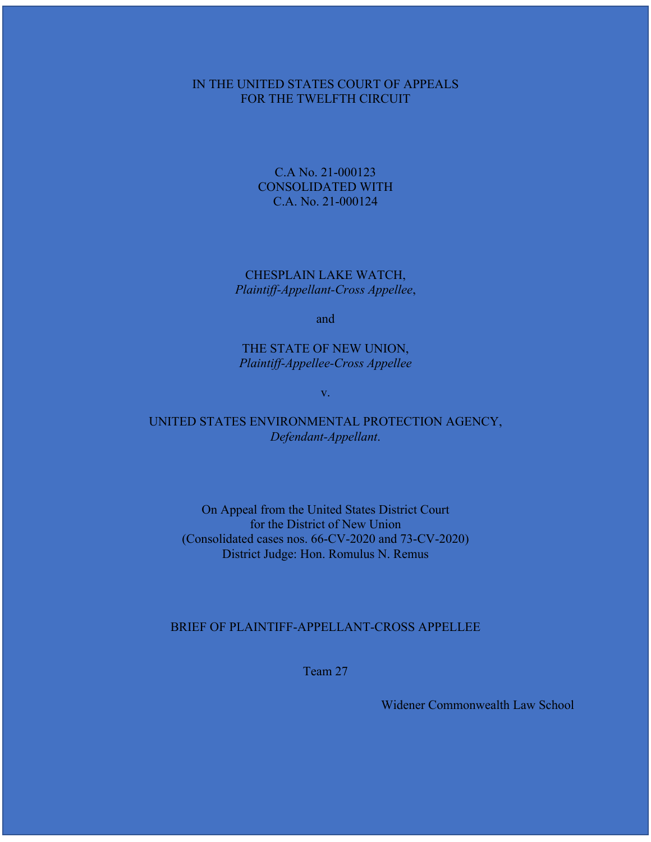### IN THE UNITED STATES COURT OF APPEALS FOR THE TWELFTH CIRCUIT

C.A No. 21-000123 CONSOLIDATED WITH C.A. No. 21-000124

CHESPLAIN LAKE WATCH, *Plaintiff-Appellant-Cross Appellee*,

and

THE STATE OF NEW UNION, *Plaintiff-Appellee-Cross Appellee*

v.

UNITED STATES ENVIRONMENTAL PROTECTION AGENCY, *Defendant-Appellant*.

On Appeal from the United States District Court for the District of New Union (Consolidated cases nos. 66-CV-2020 and 73-CV-2020) District Judge: Hon. Romulus N. Remus

### BRIEF OF PLAINTIFF-APPELLANT-CROSS APPELLEE

Team 27

Widener Commonwealth Law School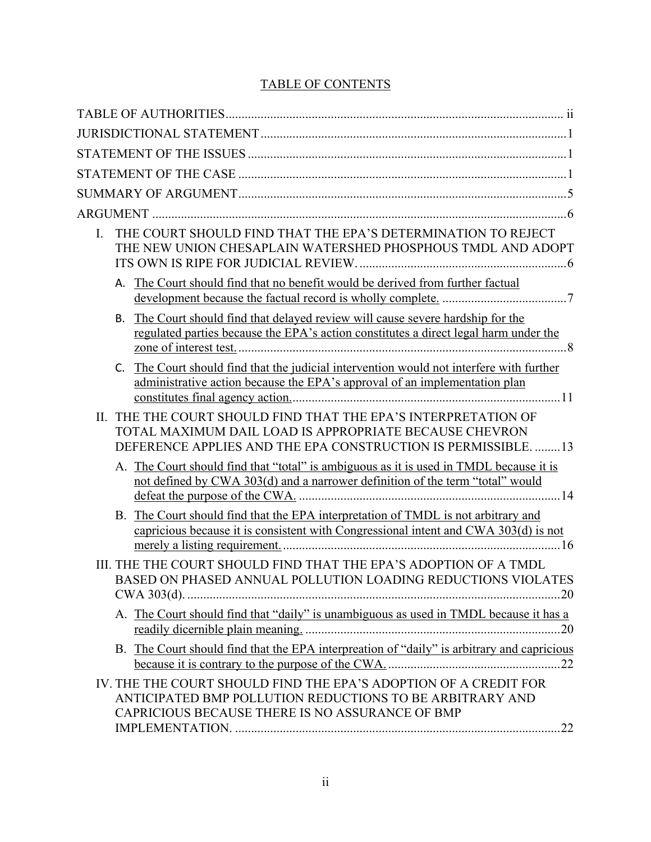# TABLE OF CONTENTS

| THE COURT SHOULD FIND THAT THE EPA'S DETERMINATION TO REJECT<br>L.<br>THE NEW UNION CHESAPLAIN WATERSHED PHOSPHOUS TMDL AND ADOPT                                                                 |
|---------------------------------------------------------------------------------------------------------------------------------------------------------------------------------------------------|
| The Court should find that no benefit would be derived from further factual<br>А.                                                                                                                 |
| The Court should find that delayed review will cause severe hardship for the<br>В.<br>regulated parties because the EPA's action constitutes a direct legal harm under the                        |
| The Court should find that the judicial intervention would not interfere with further<br>administrative action because the EPA's approval of an implementation plan                               |
| THE THE COURT SHOULD FIND THAT THE EPA'S INTERPRETATION OF<br>$\Pi$ .<br>TOTAL MAXIMUM DAIL LOAD IS APPROPRIATE BECAUSE CHEVRON<br>DEFERENCE APPLIES AND THE EPA CONSTRUCTION IS PERMISSIBLE.  13 |
| A. The Court should find that "total" is ambiguous as it is used in TMDL because it is<br>not defined by CWA 303(d) and a narrower definition of the term "total" would                           |
| B. The Court should find that the EPA interpretation of TMDL is not arbitrary and<br>capricious because it is consistent with Congressional intent and CWA 303(d) is not                          |
| III. THE THE COURT SHOULD FIND THAT THE EPA'S ADOPTION OF A TMDL<br>BASED ON PHASED ANNUAL POLLUTION LOADING REDUCTIONS VIOLATES                                                                  |
| A. The Court should find that "daily" is unambiguous as used in TMDL because it has a                                                                                                             |
| B. The Court should find that the EPA interpreation of "daily" is arbitrary and capricious                                                                                                        |
| IV. THE THE COURT SHOULD FIND THE EPA'S ADOPTION OF A CREDIT FOR<br>ANTICIPATED BMP POLLUTION REDUCTIONS TO BE ARBITRARY AND<br>CAPRICIOUS BECAUSE THERE IS NO ASSURANCE OF BMP                   |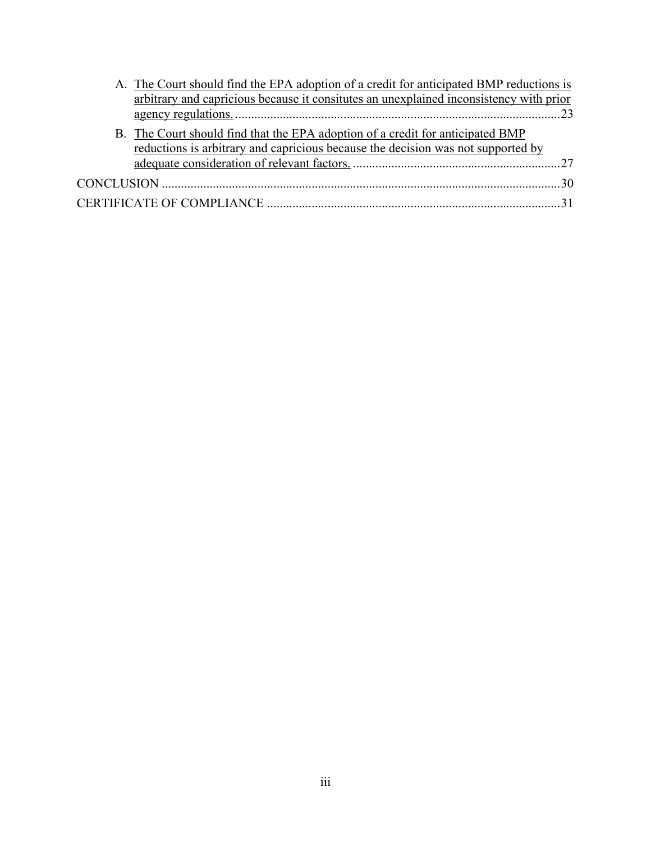| A. The Court should find the EPA adoption of a credit for anticipated BMP reductions is |                                                                                        |  |
|-----------------------------------------------------------------------------------------|----------------------------------------------------------------------------------------|--|
|                                                                                         | arbitrary and capricious because it consitutes an unexplained inconsistency with prior |  |
|                                                                                         |                                                                                        |  |
|                                                                                         | B. The Court should find that the EPA adoption of a credit for anticipated BMP         |  |
|                                                                                         | reductions is arbitrary and capricious because the decision was not supported by       |  |
|                                                                                         |                                                                                        |  |
|                                                                                         |                                                                                        |  |
|                                                                                         |                                                                                        |  |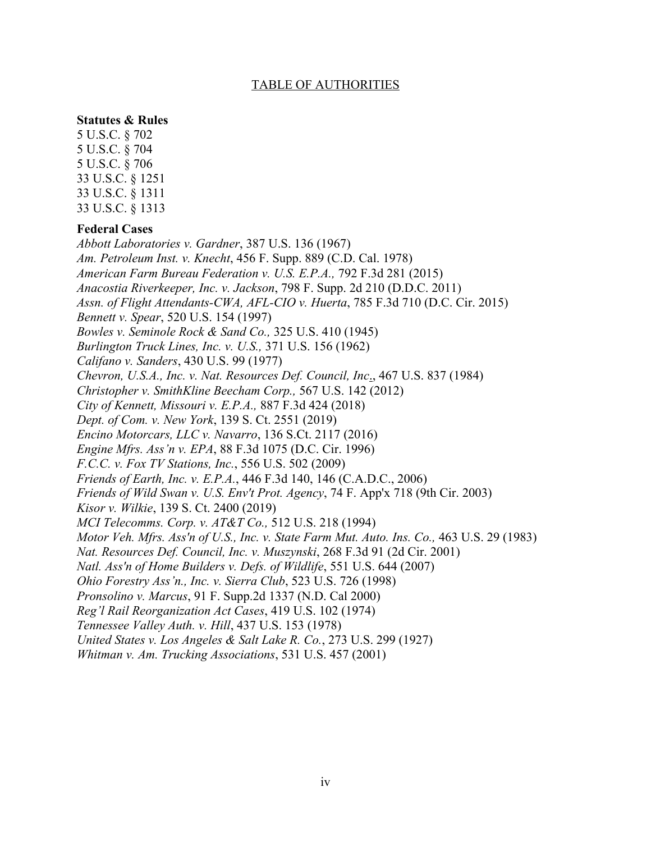### TABLE OF AUTHORITIES

### **Statutes & Rules**

5 U.S.C. § 702 5 U.S.C. § 704 5 U.S.C. § 706 33 U.S.C. § 1251 33 U.S.C. § 1311 33 U.S.C. § 1313

### **Federal Cases**

*Abbott Laboratories v. Gardner*, 387 U.S. 136 (1967) *Am. Petroleum Inst. v. Knecht*, 456 F. Supp. 889 (C.D. Cal. 1978) *American Farm Bureau Federation v. U.S. E.P.A.,* 792 F.3d 281 (2015) *Anacostia Riverkeeper, Inc. v. Jackson*, 798 F. Supp. 2d 210 (D.D.C. 2011) *Assn. of Flight Attendants-CWA, AFL-CIO v. Huerta*, 785 F.3d 710 (D.C. Cir. 2015) *Bennett v. Spear*, 520 U.S. 154 (1997) *Bowles v. Seminole Rock & Sand Co.,* 325 U.S. 410 (1945) *Burlington Truck Lines, Inc. v. U.S.,* 371 U.S. 156 (1962) *Califano v. Sanders*, 430 U.S. 99 (1977) *Chevron, U.S.A., Inc. v. Nat. Resources Def. Council, Inc*., 467 U.S. 837 (1984) *Christopher v. SmithKline Beecham Corp.,* 567 U.S. 142 (2012) *City of Kennett, Missouri v. E.P.A.,* 887 F.3d 424 (2018) *Dept. of Com. v. New York*, 139 S. Ct. 2551 (2019) *Encino Motorcars, LLC v. Navarro*, 136 S.Ct. 2117 (2016) *Engine Mfrs. Ass'n v. EPA*, 88 F.3d 1075 (D.C. Cir. 1996) *F.C.C. v. Fox TV Stations, Inc.*, 556 U.S. 502 (2009) *Friends of Earth, Inc. v. E.P.A.*, 446 F.3d 140, 146 (C.A.D.C., 2006) *Friends of Wild Swan v. U.S. Env't Prot. Agency*, 74 F. App'x 718 (9th Cir. 2003) *Kisor v. Wilkie*, 139 S. Ct. 2400 (2019) *MCI Telecomms. Corp. v. AT&T Co.,* 512 U.S. 218 (1994) *Motor Veh. Mfrs. Ass'n of U.S., Inc. v. State Farm Mut. Auto. Ins. Co.,* 463 U.S. 29 (1983) *Nat. Resources Def. Council, Inc. v. Muszynski*, 268 F.3d 91 (2d Cir. 2001) *Natl. Ass'n of Home Builders v. Defs. of Wildlife*, 551 U.S. 644 (2007) *Ohio Forestry Ass'n., Inc. v. Sierra Club*, 523 U.S. 726 (1998) *Pronsolino v. Marcus*, 91 F. Supp.2d 1337 (N.D. Cal 2000) *Reg'l Rail Reorganization Act Cases*, 419 U.S. 102 (1974) *Tennessee Valley Auth. v. Hill*, 437 U.S. 153 (1978) *United States v. Los Angeles & Salt Lake R. Co.*, 273 U.S. 299 (1927) *Whitman v. Am. Trucking Associations*, 531 U.S. 457 (2001)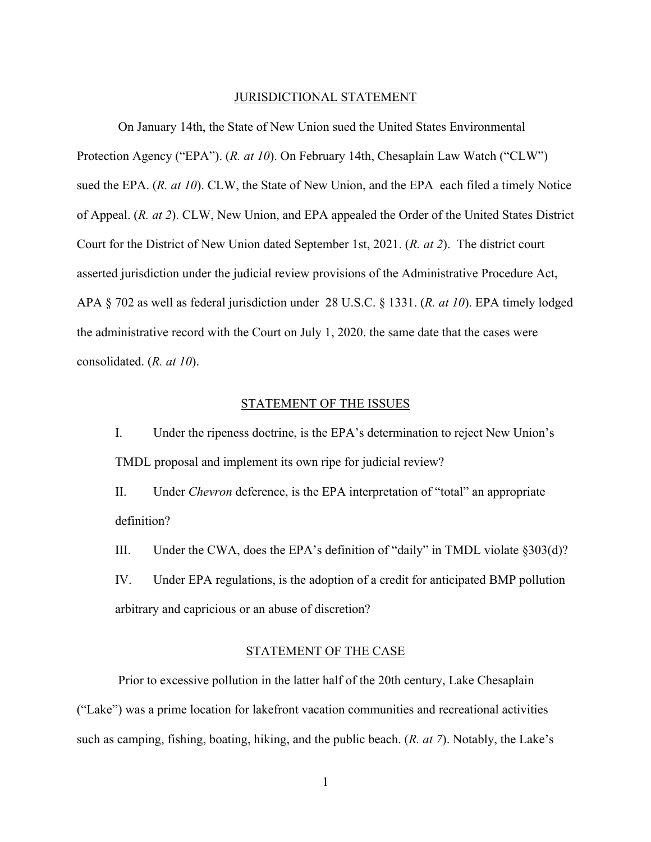#### JURISDICTIONAL STATEMENT

On January 14th, the State of New Union sued the United States Environmental Protection Agency ("EPA"). (*R. at 10*). On February 14th, Chesaplain Law Watch ("CLW") sued the EPA. (*R. at 10*). CLW, the State of New Union, and the EPA each filed a timely Notice of Appeal. (*R. at 2*). CLW, New Union, and EPA appealed the Order of the United States District Court for the District of New Union dated September 1st, 2021. (*R. at 2*). The district court asserted jurisdiction under the judicial review provisions of the Administrative Procedure Act, APA § 702 as well as federal jurisdiction under 28 U.S.C. § 1331. (*R. at 10*). EPA timely lodged the administrative record with the Court on July 1, 2020. the same date that the cases were consolidated. (*R. at 10*).

#### STATEMENT OF THE ISSUES

I. Under the ripeness doctrine, is the EPA's determination to reject New Union's TMDL proposal and implement its own ripe for judicial review?

II. Under *Chevron* deference, is the EPA interpretation of "total" an appropriate definition?

III. Under the CWA, does the EPA's definition of "daily" in TMDL violate §303(d)?

IV. Under EPA regulations, is the adoption of a credit for anticipated BMP pollution arbitrary and capricious or an abuse of discretion?

### STATEMENT OF THE CASE

Prior to excessive pollution in the latter half of the 20th century, Lake Chesaplain ("Lake") was a prime location for lakefront vacation communities and recreational activities such as camping, fishing, boating, hiking, and the public beach. (*R. at 7*). Notably, the Lake's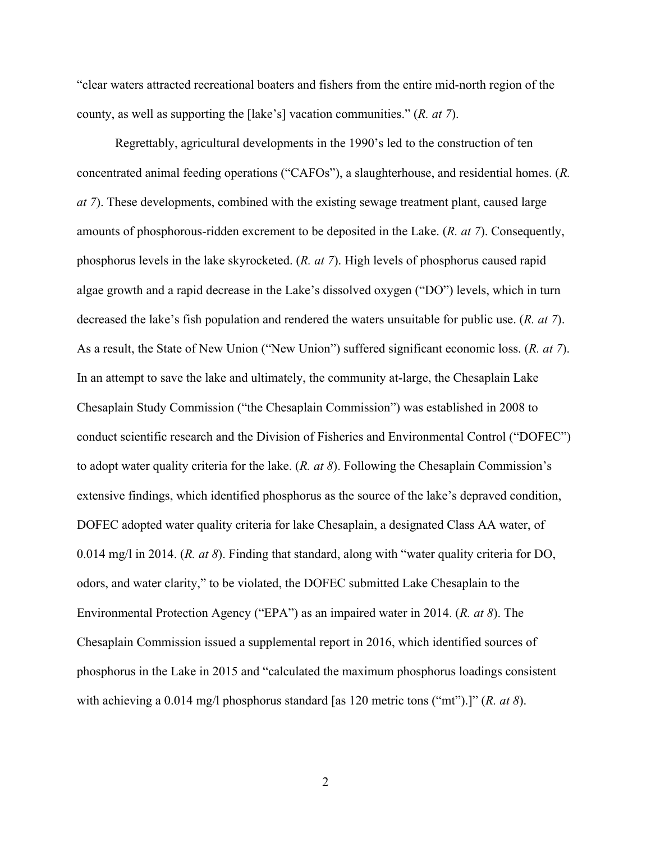"clear waters attracted recreational boaters and fishers from the entire mid-north region of the county, as well as supporting the [lake's] vacation communities." (*R. at 7*).

Regrettably, agricultural developments in the 1990's led to the construction of ten concentrated animal feeding operations ("CAFOs"), a slaughterhouse, and residential homes. (*R. at 7*). These developments, combined with the existing sewage treatment plant, caused large amounts of phosphorous-ridden excrement to be deposited in the Lake. (*R. at 7*). Consequently, phosphorus levels in the lake skyrocketed. (*R. at 7*). High levels of phosphorus caused rapid algae growth and a rapid decrease in the Lake's dissolved oxygen ("DO") levels, which in turn decreased the lake's fish population and rendered the waters unsuitable for public use. (*R. at 7*). As a result, the State of New Union ("New Union") suffered significant economic loss. (*R. at 7*). In an attempt to save the lake and ultimately, the community at-large, the Chesaplain Lake Chesaplain Study Commission ("the Chesaplain Commission") was established in 2008 to conduct scientific research and the Division of Fisheries and Environmental Control ("DOFEC") to adopt water quality criteria for the lake. (*R. at 8*). Following the Chesaplain Commission's extensive findings, which identified phosphorus as the source of the lake's depraved condition, DOFEC adopted water quality criteria for lake Chesaplain, a designated Class AA water, of 0.014 mg/l in 2014. (*R. at 8*). Finding that standard, along with "water quality criteria for DO, odors, and water clarity," to be violated, the DOFEC submitted Lake Chesaplain to the Environmental Protection Agency ("EPA") as an impaired water in 2014. (*R. at 8*). The Chesaplain Commission issued a supplemental report in 2016, which identified sources of phosphorus in the Lake in 2015 and "calculated the maximum phosphorus loadings consistent with achieving a 0.014 mg/l phosphorus standard [as 120 metric tons ("mt").]" (*R. at 8*).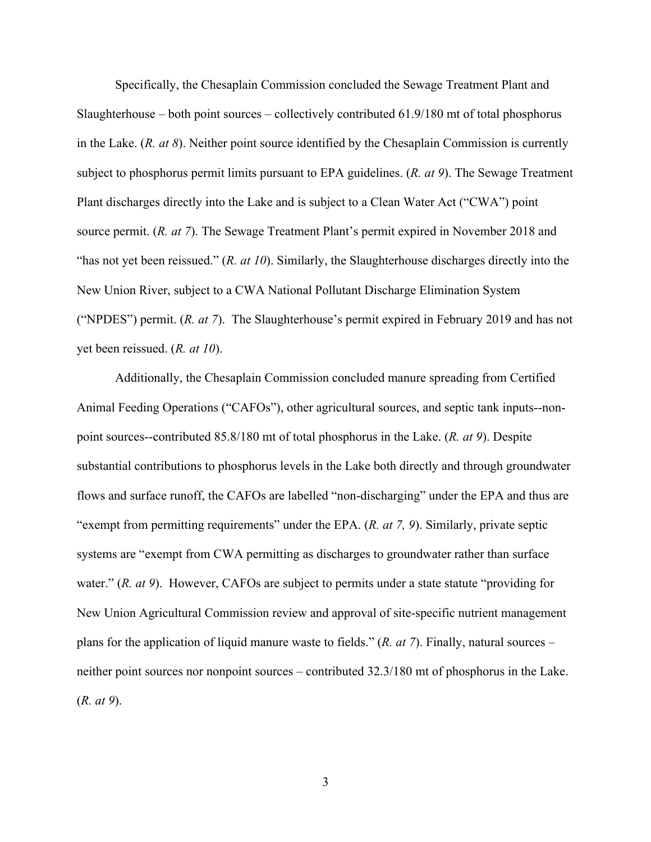Specifically, the Chesaplain Commission concluded the Sewage Treatment Plant and Slaughterhouse – both point sources – collectively contributed 61.9/180 mt of total phosphorus in the Lake. (*R. at 8*). Neither point source identified by the Chesaplain Commission is currently subject to phosphorus permit limits pursuant to EPA guidelines. (*R. at 9*). The Sewage Treatment Plant discharges directly into the Lake and is subject to a Clean Water Act ("CWA") point source permit. (*R. at 7*). The Sewage Treatment Plant's permit expired in November 2018 and "has not yet been reissued." (*R. at 10*). Similarly, the Slaughterhouse discharges directly into the New Union River, subject to a CWA National Pollutant Discharge Elimination System ("NPDES") permit. (*R. at 7*). The Slaughterhouse's permit expired in February 2019 and has not yet been reissued. (*R. at 10*).

Additionally, the Chesaplain Commission concluded manure spreading from Certified Animal Feeding Operations ("CAFOs"), other agricultural sources, and septic tank inputs--nonpoint sources--contributed 85.8/180 mt of total phosphorus in the Lake. (*R. at 9*). Despite substantial contributions to phosphorus levels in the Lake both directly and through groundwater flows and surface runoff, the CAFOs are labelled "non-discharging" under the EPA and thus are "exempt from permitting requirements" under the EPA. (*R. at 7, 9*). Similarly, private septic systems are "exempt from CWA permitting as discharges to groundwater rather than surface water." (*R. at 9*). However, CAFOs are subject to permits under a state statute "providing for New Union Agricultural Commission review and approval of site-specific nutrient management plans for the application of liquid manure waste to fields." (*R. at 7*). Finally, natural sources – neither point sources nor nonpoint sources – contributed 32.3/180 mt of phosphorus in the Lake. (*R. at 9*).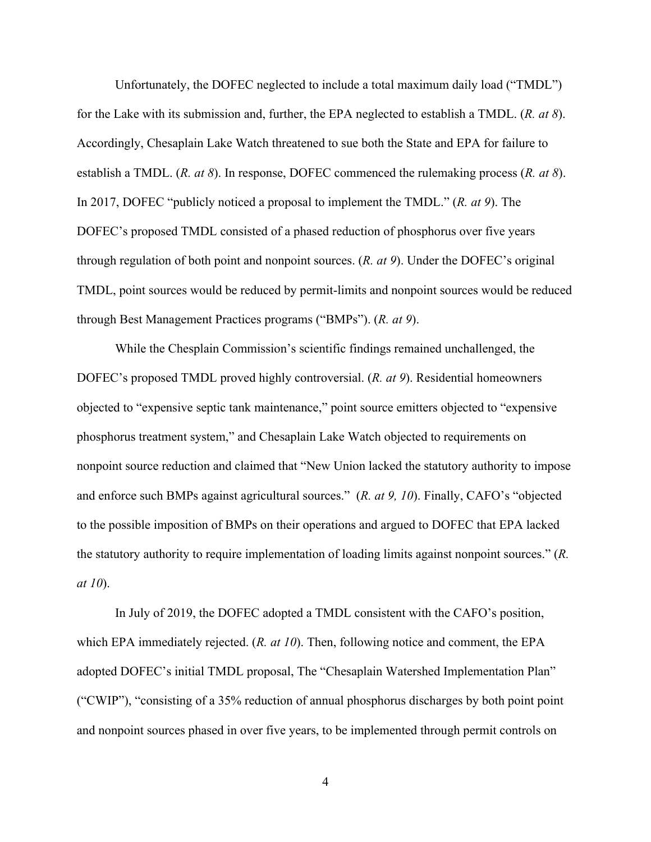Unfortunately, the DOFEC neglected to include a total maximum daily load ("TMDL") for the Lake with its submission and, further, the EPA neglected to establish a TMDL. (*R. at 8*). Accordingly, Chesaplain Lake Watch threatened to sue both the State and EPA for failure to establish a TMDL. (*R. at 8*). In response, DOFEC commenced the rulemaking process (*R. at 8*). In 2017, DOFEC "publicly noticed a proposal to implement the TMDL." (*R. at 9*). The DOFEC's proposed TMDL consisted of a phased reduction of phosphorus over five years through regulation of both point and nonpoint sources. (*R. at 9*). Under the DOFEC's original TMDL, point sources would be reduced by permit-limits and nonpoint sources would be reduced through Best Management Practices programs ("BMPs"). (*R. at 9*).

While the Chesplain Commission's scientific findings remained unchallenged, the DOFEC's proposed TMDL proved highly controversial. (*R. at 9*). Residential homeowners objected to "expensive septic tank maintenance," point source emitters objected to "expensive phosphorus treatment system," and Chesaplain Lake Watch objected to requirements on nonpoint source reduction and claimed that "New Union lacked the statutory authority to impose and enforce such BMPs against agricultural sources." (*R. at 9, 10*). Finally, CAFO's "objected to the possible imposition of BMPs on their operations and argued to DOFEC that EPA lacked the statutory authority to require implementation of loading limits against nonpoint sources." (*R. at 10*).

In July of 2019, the DOFEC adopted a TMDL consistent with the CAFO's position, which EPA immediately rejected. (*R. at 10*). Then, following notice and comment, the EPA adopted DOFEC's initial TMDL proposal, The "Chesaplain Watershed Implementation Plan" ("CWIP"), "consisting of a 35% reduction of annual phosphorus discharges by both point point and nonpoint sources phased in over five years, to be implemented through permit controls on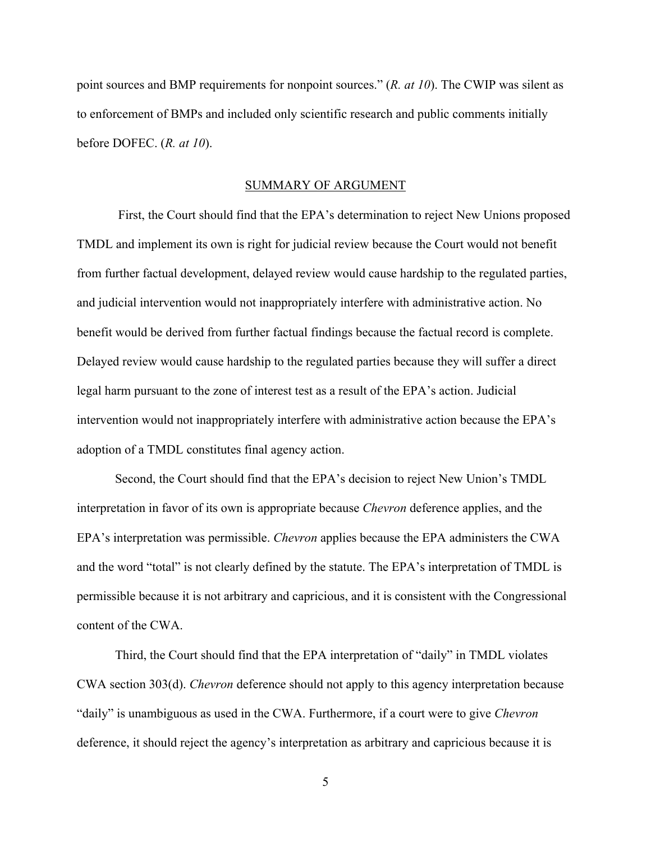point sources and BMP requirements for nonpoint sources." (*R. at 10*). The CWIP was silent as to enforcement of BMPs and included only scientific research and public comments initially before DOFEC. (*R. at 10*).

#### SUMMARY OF ARGUMENT

First, the Court should find that the EPA's determination to reject New Unions proposed TMDL and implement its own is right for judicial review because the Court would not benefit from further factual development, delayed review would cause hardship to the regulated parties, and judicial intervention would not inappropriately interfere with administrative action. No benefit would be derived from further factual findings because the factual record is complete. Delayed review would cause hardship to the regulated parties because they will suffer a direct legal harm pursuant to the zone of interest test as a result of the EPA's action. Judicial intervention would not inappropriately interfere with administrative action because the EPA's adoption of a TMDL constitutes final agency action.

Second, the Court should find that the EPA's decision to reject New Union's TMDL interpretation in favor of its own is appropriate because *Chevron* deference applies, and the EPA's interpretation was permissible. *Chevron* applies because the EPA administers the CWA and the word "total" is not clearly defined by the statute. The EPA's interpretation of TMDL is permissible because it is not arbitrary and capricious, and it is consistent with the Congressional content of the CWA.

Third, the Court should find that the EPA interpretation of "daily" in TMDL violates CWA section 303(d). *Chevron* deference should not apply to this agency interpretation because "daily" is unambiguous as used in the CWA. Furthermore, if a court were to give *Chevron* deference, it should reject the agency's interpretation as arbitrary and capricious because it is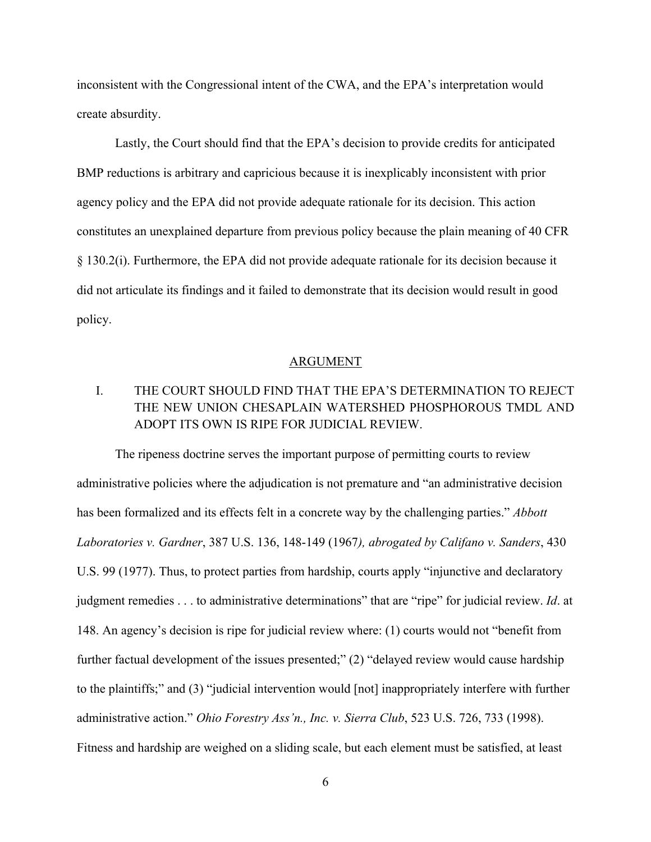inconsistent with the Congressional intent of the CWA, and the EPA's interpretation would create absurdity.

Lastly, the Court should find that the EPA's decision to provide credits for anticipated BMP reductions is arbitrary and capricious because it is inexplicably inconsistent with prior agency policy and the EPA did not provide adequate rationale for its decision. This action constitutes an unexplained departure from previous policy because the plain meaning of 40 CFR § 130.2(i). Furthermore, the EPA did not provide adequate rationale for its decision because it did not articulate its findings and it failed to demonstrate that its decision would result in good policy.

### ARGUMENT

# I. THE COURT SHOULD FIND THAT THE EPA'S DETERMINATION TO REJECT THE NEW UNION CHESAPLAIN WATERSHED PHOSPHOROUS TMDL AND ADOPT ITS OWN IS RIPE FOR JUDICIAL REVIEW.

The ripeness doctrine serves the important purpose of permitting courts to review administrative policies where the adjudication is not premature and "an administrative decision has been formalized and its effects felt in a concrete way by the challenging parties." *Abbott Laboratories v. Gardner*, 387 U.S. 136, 148-149 (1967*), abrogated by Califano v. Sanders*, 430 U.S. 99 (1977). Thus, to protect parties from hardship, courts apply "injunctive and declaratory judgment remedies . . . to administrative determinations" that are "ripe" for judicial review. *Id*. at 148. An agency's decision is ripe for judicial review where: (1) courts would not "benefit from further factual development of the issues presented;" (2) "delayed review would cause hardship to the plaintiffs;" and (3) "judicial intervention would [not] inappropriately interfere with further administrative action." *Ohio Forestry Ass'n., Inc. v. Sierra Club*, 523 U.S. 726, 733 (1998). Fitness and hardship are weighed on a sliding scale, but each element must be satisfied, at least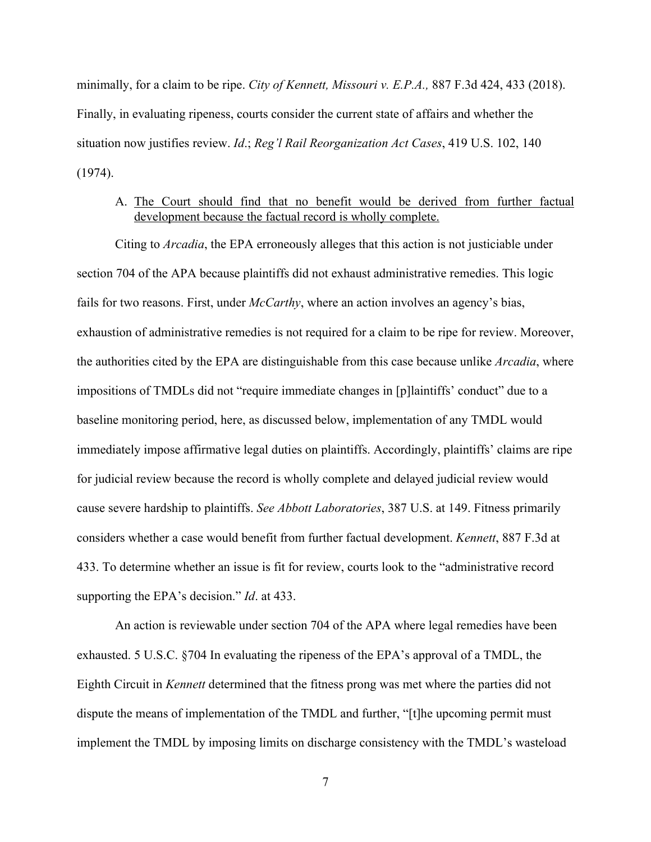minimally, for a claim to be ripe. *City of Kennett, Missouri v. E.P.A.,* 887 F.3d 424, 433 (2018). Finally, in evaluating ripeness, courts consider the current state of affairs and whether the situation now justifies review. *Id*.; *Reg'l Rail Reorganization Act Cases*, 419 U.S. 102, 140 (1974).

## A. The Court should find that no benefit would be derived from further factual development because the factual record is wholly complete.

Citing to *Arcadia*, the EPA erroneously alleges that this action is not justiciable under section 704 of the APA because plaintiffs did not exhaust administrative remedies. This logic fails for two reasons. First, under *McCarthy*, where an action involves an agency's bias, exhaustion of administrative remedies is not required for a claim to be ripe for review. Moreover, the authorities cited by the EPA are distinguishable from this case because unlike *Arcadia*, where impositions of TMDLs did not "require immediate changes in [p]laintiffs' conduct" due to a baseline monitoring period, here, as discussed below, implementation of any TMDL would immediately impose affirmative legal duties on plaintiffs. Accordingly, plaintiffs' claims are ripe for judicial review because the record is wholly complete and delayed judicial review would cause severe hardship to plaintiffs. *See Abbott Laboratories*, 387 U.S. at 149. Fitness primarily considers whether a case would benefit from further factual development. *Kennett*, 887 F.3d at 433. To determine whether an issue is fit for review, courts look to the "administrative record supporting the EPA's decision." *Id*. at 433.

An action is reviewable under section 704 of the APA where legal remedies have been exhausted. 5 U.S.C. §704 In evaluating the ripeness of the EPA's approval of a TMDL, the Eighth Circuit in *Kennett* determined that the fitness prong was met where the parties did not dispute the means of implementation of the TMDL and further, "[t]he upcoming permit must implement the TMDL by imposing limits on discharge consistency with the TMDL's wasteload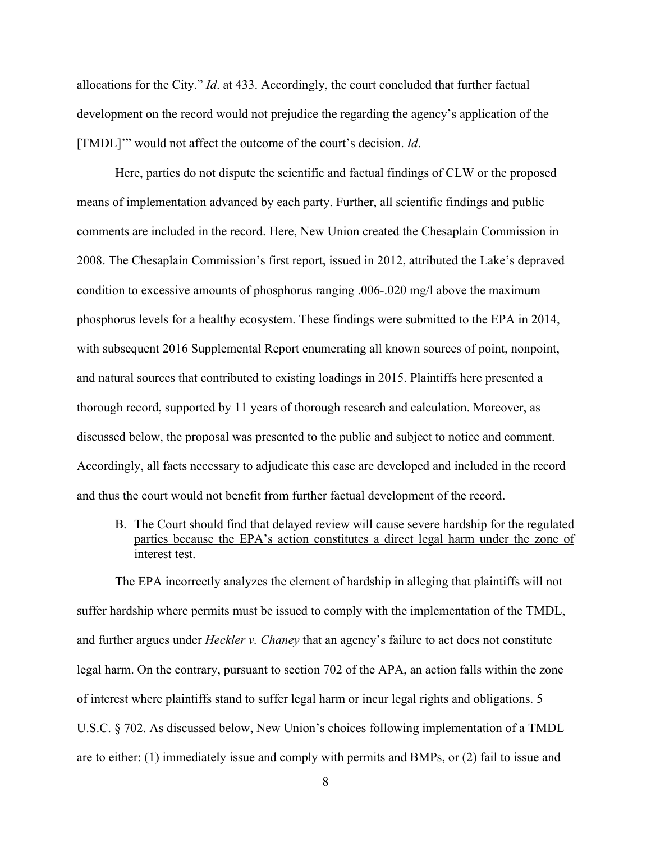allocations for the City." *Id*. at 433. Accordingly, the court concluded that further factual development on the record would not prejudice the regarding the agency's application of the [TMDL]'" would not affect the outcome of the court's decision. *Id*.

Here, parties do not dispute the scientific and factual findings of CLW or the proposed means of implementation advanced by each party. Further, all scientific findings and public comments are included in the record. Here, New Union created the Chesaplain Commission in 2008. The Chesaplain Commission's first report, issued in 2012, attributed the Lake's depraved condition to excessive amounts of phosphorus ranging .006-.020 mg/l above the maximum phosphorus levels for a healthy ecosystem. These findings were submitted to the EPA in 2014, with subsequent 2016 Supplemental Report enumerating all known sources of point, nonpoint, and natural sources that contributed to existing loadings in 2015. Plaintiffs here presented a thorough record, supported by 11 years of thorough research and calculation. Moreover, as discussed below, the proposal was presented to the public and subject to notice and comment. Accordingly, all facts necessary to adjudicate this case are developed and included in the record and thus the court would not benefit from further factual development of the record.

B. The Court should find that delayed review will cause severe hardship for the regulated parties because the EPA's action constitutes a direct legal harm under the zone of interest test.

The EPA incorrectly analyzes the element of hardship in alleging that plaintiffs will not suffer hardship where permits must be issued to comply with the implementation of the TMDL, and further argues under *Heckler v. Chaney* that an agency's failure to act does not constitute legal harm. On the contrary, pursuant to section 702 of the APA, an action falls within the zone of interest where plaintiffs stand to suffer legal harm or incur legal rights and obligations. 5 U.S.C. § 702. As discussed below, New Union's choices following implementation of a TMDL are to either: (1) immediately issue and comply with permits and BMPs, or (2) fail to issue and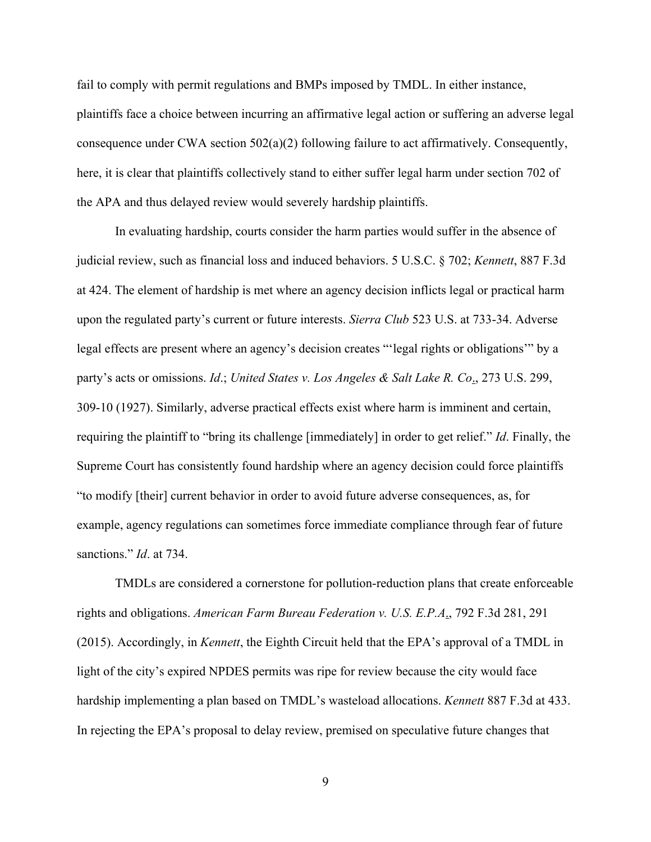fail to comply with permit regulations and BMPs imposed by TMDL. In either instance, plaintiffs face a choice between incurring an affirmative legal action or suffering an adverse legal consequence under CWA section  $502(a)(2)$  following failure to act affirmatively. Consequently, here, it is clear that plaintiffs collectively stand to either suffer legal harm under section 702 of the APA and thus delayed review would severely hardship plaintiffs.

In evaluating hardship, courts consider the harm parties would suffer in the absence of judicial review, such as financial loss and induced behaviors. 5 U.S.C. § 702; *Kennett*, 887 F.3d at 424. The element of hardship is met where an agency decision inflicts legal or practical harm upon the regulated party's current or future interests. *Sierra Club* 523 U.S. at 733-34. Adverse legal effects are present where an agency's decision creates "'legal rights or obligations'" by a party's acts or omissions. *Id*.; *United States v. Los Angeles & Salt Lake R. Co*., 273 U.S. 299, 309-10 (1927). Similarly, adverse practical effects exist where harm is imminent and certain, requiring the plaintiff to "bring its challenge [immediately] in order to get relief." *Id*. Finally, the Supreme Court has consistently found hardship where an agency decision could force plaintiffs "to modify [their] current behavior in order to avoid future adverse consequences, as, for example, agency regulations can sometimes force immediate compliance through fear of future sanctions." *Id*. at 734.

TMDLs are considered a cornerstone for pollution-reduction plans that create enforceable rights and obligations. *American Farm Bureau Federation v. U.S. E.P.A*., 792 F.3d 281, 291 (2015). Accordingly, in *Kennett*, the Eighth Circuit held that the EPA's approval of a TMDL in light of the city's expired NPDES permits was ripe for review because the city would face hardship implementing a plan based on TMDL's wasteload allocations. *Kennett* 887 F.3d at 433. In rejecting the EPA's proposal to delay review, premised on speculative future changes that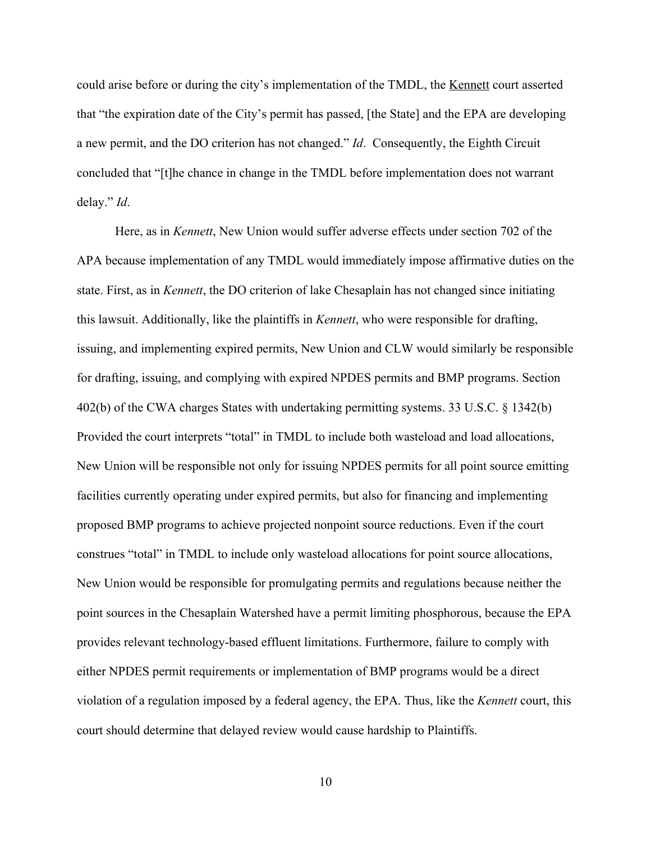could arise before or during the city's implementation of the TMDL, the Kennett court asserted that "the expiration date of the City's permit has passed, [the State] and the EPA are developing a new permit, and the DO criterion has not changed." *Id*. Consequently, the Eighth Circuit concluded that "[t]he chance in change in the TMDL before implementation does not warrant delay." *Id*.

Here, as in *Kennett*, New Union would suffer adverse effects under section 702 of the APA because implementation of any TMDL would immediately impose affirmative duties on the state. First, as in *Kennett*, the DO criterion of lake Chesaplain has not changed since initiating this lawsuit. Additionally, like the plaintiffs in *Kennett*, who were responsible for drafting, issuing, and implementing expired permits, New Union and CLW would similarly be responsible for drafting, issuing, and complying with expired NPDES permits and BMP programs. Section 402(b) of the CWA charges States with undertaking permitting systems. 33 U.S.C. § 1342(b) Provided the court interprets "total" in TMDL to include both wasteload and load allocations, New Union will be responsible not only for issuing NPDES permits for all point source emitting facilities currently operating under expired permits, but also for financing and implementing proposed BMP programs to achieve projected nonpoint source reductions. Even if the court construes "total" in TMDL to include only wasteload allocations for point source allocations, New Union would be responsible for promulgating permits and regulations because neither the point sources in the Chesaplain Watershed have a permit limiting phosphorous, because the EPA provides relevant technology-based effluent limitations. Furthermore, failure to comply with either NPDES permit requirements or implementation of BMP programs would be a direct violation of a regulation imposed by a federal agency, the EPA. Thus, like the *Kennett* court, this court should determine that delayed review would cause hardship to Plaintiffs.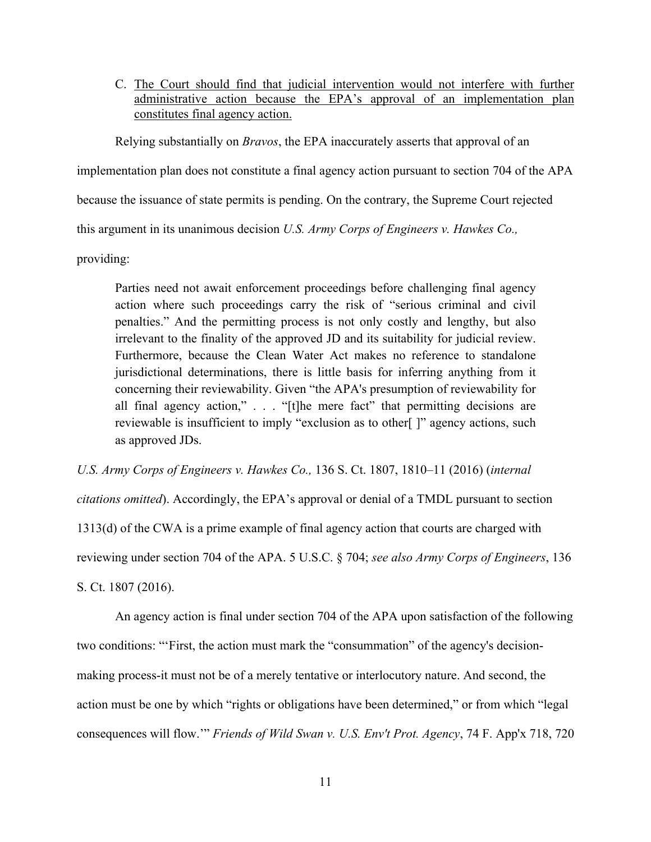C. The Court should find that judicial intervention would not interfere with further administrative action because the EPA's approval of an implementation plan constitutes final agency action.

Relying substantially on *Bravos*, the EPA inaccurately asserts that approval of an implementation plan does not constitute a final agency action pursuant to section 704 of the APA because the issuance of state permits is pending. On the contrary, the Supreme Court rejected this argument in its unanimous decision *U.S. Army Corps of Engineers v. Hawkes Co.,*

providing:

Parties need not await enforcement proceedings before challenging final agency action where such proceedings carry the risk of "serious criminal and civil penalties." And the permitting process is not only costly and lengthy, but also irrelevant to the finality of the approved JD and its suitability for judicial review. Furthermore, because the Clean Water Act makes no reference to standalone jurisdictional determinations, there is little basis for inferring anything from it concerning their reviewability. Given "the APA's presumption of reviewability for all final agency action," . . . "[t]he mere fact" that permitting decisions are reviewable is insufficient to imply "exclusion as to other[ ]" agency actions, such as approved JDs.

*U.S. Army Corps of Engineers v. Hawkes Co.,* 136 S. Ct. 1807, 1810–11 (2016) (*internal* 

*citations omitted*). Accordingly, the EPA's approval or denial of a TMDL pursuant to section

1313(d) of the CWA is a prime example of final agency action that courts are charged with

reviewing under section 704 of the APA. 5 U.S.C. § 704; *see also Army Corps of Engineers*, 136

S. Ct. 1807 (2016).

An agency action is final under section 704 of the APA upon satisfaction of the following two conditions: "'First, the action must mark the "consummation" of the agency's decisionmaking process-it must not be of a merely tentative or interlocutory nature. And second, the action must be one by which "rights or obligations have been determined," or from which "legal consequences will flow.'" *Friends of Wild Swan v. U.S. Env't Prot. Agency*, 74 F. App'x 718, 720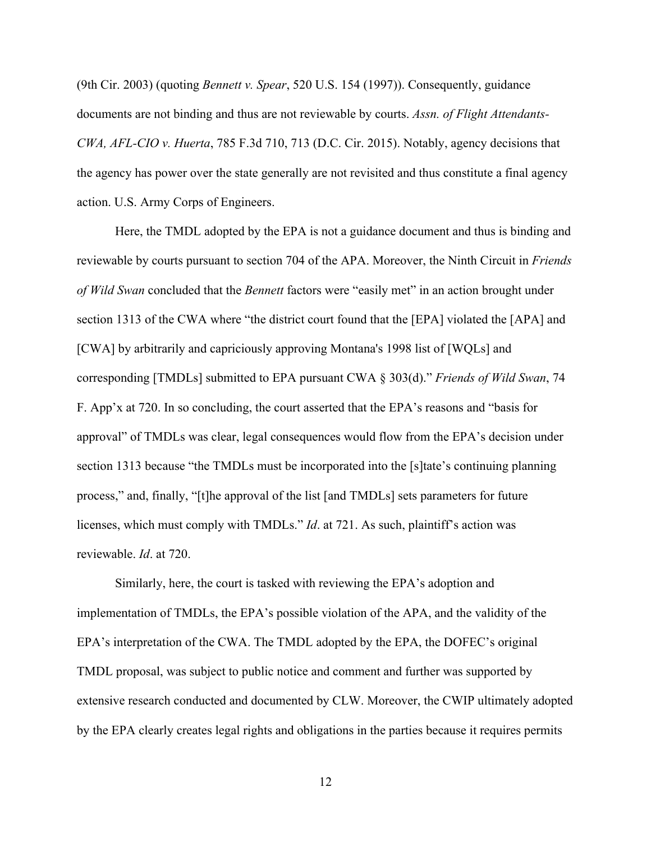(9th Cir. 2003) (quoting *Bennett v. Spear*, 520 U.S. 154 (1997)). Consequently, guidance documents are not binding and thus are not reviewable by courts. *Assn. of Flight Attendants-CWA, AFL-CIO v. Huerta*, 785 F.3d 710, 713 (D.C. Cir. 2015). Notably, agency decisions that the agency has power over the state generally are not revisited and thus constitute a final agency action. U.S. Army Corps of Engineers.

Here, the TMDL adopted by the EPA is not a guidance document and thus is binding and reviewable by courts pursuant to section 704 of the APA. Moreover, the Ninth Circuit in *Friends of Wild Swan* concluded that the *Bennett* factors were "easily met" in an action brought under section 1313 of the CWA where "the district court found that the [EPA] violated the [APA] and [CWA] by arbitrarily and capriciously approving Montana's 1998 list of [WQLs] and corresponding [TMDLs] submitted to EPA pursuant CWA § 303(d)." *Friends of Wild Swan*, 74 F. App'x at 720. In so concluding, the court asserted that the EPA's reasons and "basis for approval" of TMDLs was clear, legal consequences would flow from the EPA's decision under section 1313 because "the TMDLs must be incorporated into the [s]tate's continuing planning process," and, finally, "[t]he approval of the list [and TMDLs] sets parameters for future licenses, which must comply with TMDLs." *Id*. at 721. As such, plaintiff's action was reviewable. *Id*. at 720.

Similarly, here, the court is tasked with reviewing the EPA's adoption and implementation of TMDLs, the EPA's possible violation of the APA, and the validity of the EPA's interpretation of the CWA. The TMDL adopted by the EPA, the DOFEC's original TMDL proposal, was subject to public notice and comment and further was supported by extensive research conducted and documented by CLW. Moreover, the CWIP ultimately adopted by the EPA clearly creates legal rights and obligations in the parties because it requires permits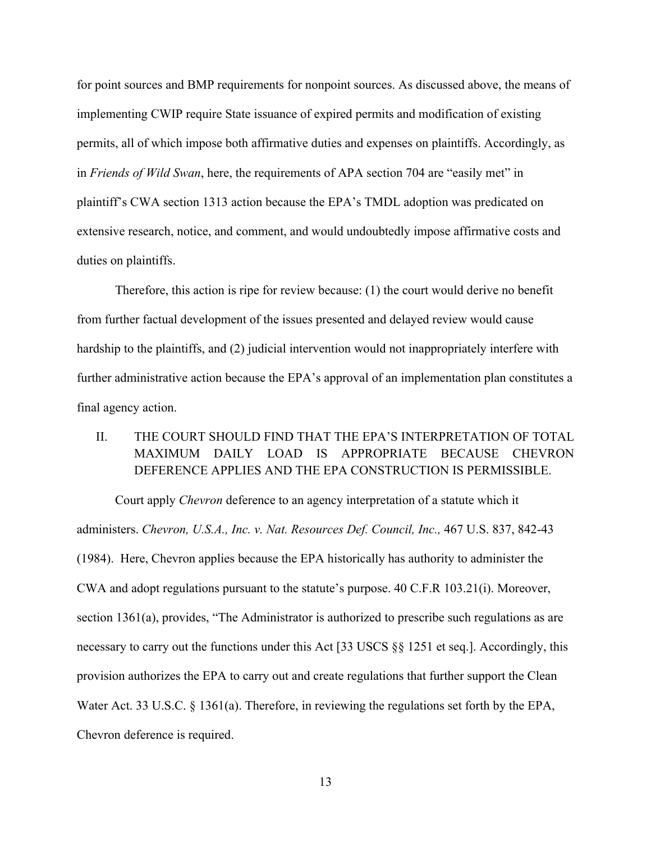for point sources and BMP requirements for nonpoint sources. As discussed above, the means of implementing CWIP require State issuance of expired permits and modification of existing permits, all of which impose both affirmative duties and expenses on plaintiffs. Accordingly, as in *Friends of Wild Swan*, here, the requirements of APA section 704 are "easily met" in plaintiff's CWA section 1313 action because the EPA's TMDL adoption was predicated on extensive research, notice, and comment, and would undoubtedly impose affirmative costs and duties on plaintiffs.

Therefore, this action is ripe for review because: (1) the court would derive no benefit from further factual development of the issues presented and delayed review would cause hardship to the plaintiffs, and (2) judicial intervention would not inappropriately interfere with further administrative action because the EPA's approval of an implementation plan constitutes a final agency action.

## II. THE COURT SHOULD FIND THAT THE EPA'S INTERPRETATION OF TOTAL MAXIMUM DAILY LOAD IS APPROPRIATE BECAUSE CHEVRON DEFERENCE APPLIES AND THE EPA CONSTRUCTION IS PERMISSIBLE.

Court apply *Chevron* deference to an agency interpretation of a statute which it administers. *Chevron, U.S.A., Inc. v. Nat. Resources Def. Council, Inc.,* 467 U.S. 837, 842-43 (1984). Here, Chevron applies because the EPA historically has authority to administer the CWA and adopt regulations pursuant to the statute's purpose. 40 C.F.R 103.21(i). Moreover, section 1361(a), provides, "The Administrator is authorized to prescribe such regulations as are necessary to carry out the functions under this Act [33 USCS §§ 1251 et seq.]. Accordingly, this provision authorizes the EPA to carry out and create regulations that further support the Clean Water Act. 33 U.S.C. § 1361(a). Therefore, in reviewing the regulations set forth by the EPA, Chevron deference is required.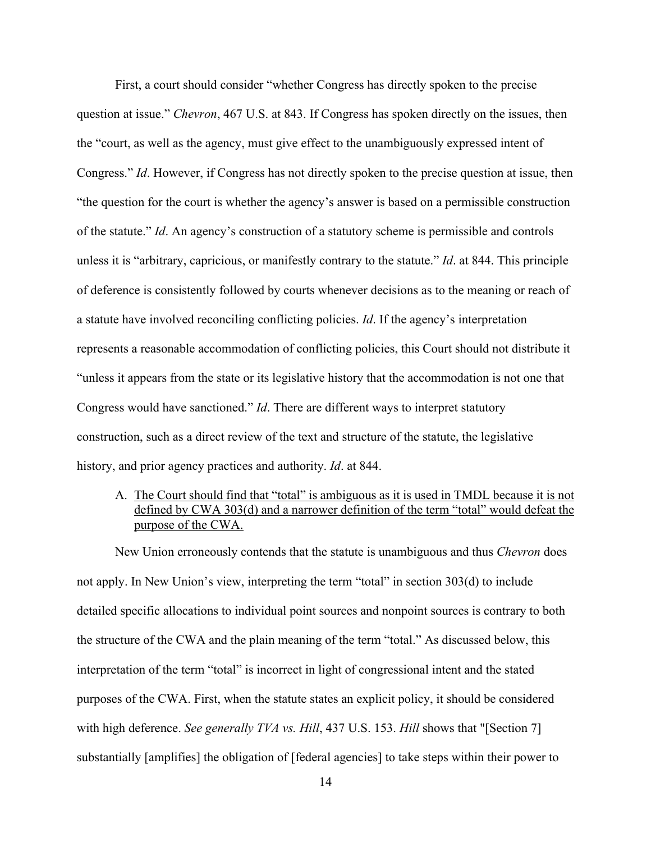First, a court should consider "whether Congress has directly spoken to the precise question at issue." *Chevron*, 467 U.S. at 843. If Congress has spoken directly on the issues, then the "court, as well as the agency, must give effect to the unambiguously expressed intent of Congress." *Id*. However, if Congress has not directly spoken to the precise question at issue, then "the question for the court is whether the agency's answer is based on a permissible construction of the statute." *Id*. An agency's construction of a statutory scheme is permissible and controls unless it is "arbitrary, capricious, or manifestly contrary to the statute." *Id*. at 844. This principle of deference is consistently followed by courts whenever decisions as to the meaning or reach of a statute have involved reconciling conflicting policies. *Id*. If the agency's interpretation represents a reasonable accommodation of conflicting policies, this Court should not distribute it "unless it appears from the state or its legislative history that the accommodation is not one that Congress would have sanctioned." *Id*. There are different ways to interpret statutory construction, such as a direct review of the text and structure of the statute, the legislative history, and prior agency practices and authority. *Id*. at 844.

A. The Court should find that "total" is ambiguous as it is used in TMDL because it is not defined by CWA 303(d) and a narrower definition of the term "total" would defeat the purpose of the CWA.

New Union erroneously contends that the statute is unambiguous and thus *Chevron* does not apply. In New Union's view, interpreting the term "total" in section 303(d) to include detailed specific allocations to individual point sources and nonpoint sources is contrary to both the structure of the CWA and the plain meaning of the term "total." As discussed below, this interpretation of the term "total" is incorrect in light of congressional intent and the stated purposes of the CWA. First, when the statute states an explicit policy, it should be considered with high deference. *See generally TVA vs. Hill*, 437 U.S. 153. *Hill* shows that "[Section 7] substantially [amplifies] the obligation of [federal agencies] to take steps within their power to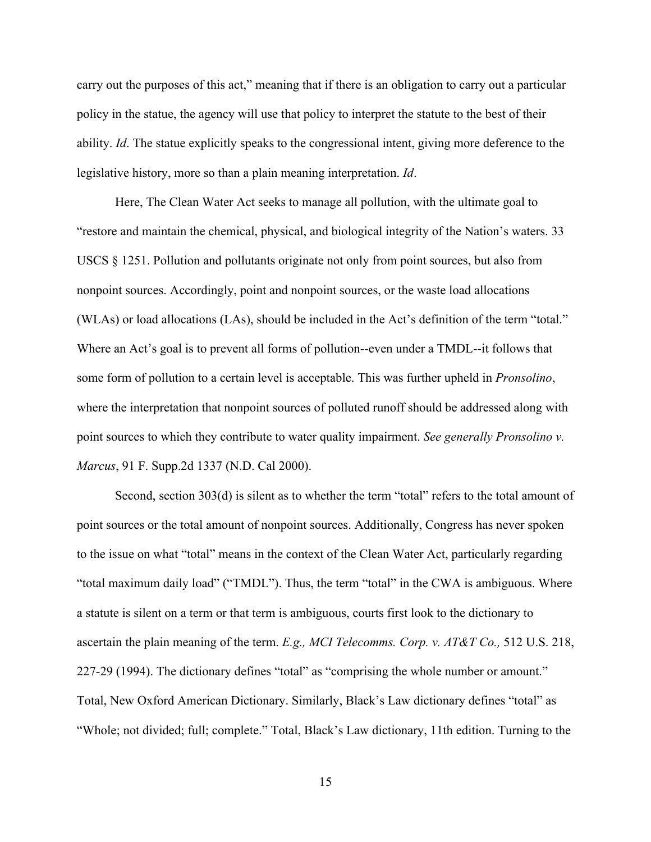carry out the purposes of this act," meaning that if there is an obligation to carry out a particular policy in the statue, the agency will use that policy to interpret the statute to the best of their ability. *Id*. The statue explicitly speaks to the congressional intent, giving more deference to the legislative history, more so than a plain meaning interpretation. *Id*.

Here, The Clean Water Act seeks to manage all pollution, with the ultimate goal to "restore and maintain the chemical, physical, and biological integrity of the Nation's waters. 33 USCS § 1251. Pollution and pollutants originate not only from point sources, but also from nonpoint sources. Accordingly, point and nonpoint sources, or the waste load allocations (WLAs) or load allocations (LAs), should be included in the Act's definition of the term "total." Where an Act's goal is to prevent all forms of pollution--even under a TMDL--it follows that some form of pollution to a certain level is acceptable. This was further upheld in *Pronsolino*, where the interpretation that nonpoint sources of polluted runoff should be addressed along with point sources to which they contribute to water quality impairment. *See generally Pronsolino v. Marcus*, 91 F. Supp.2d 1337 (N.D. Cal 2000).

Second, section 303(d) is silent as to whether the term "total" refers to the total amount of point sources or the total amount of nonpoint sources. Additionally, Congress has never spoken to the issue on what "total" means in the context of the Clean Water Act, particularly regarding "total maximum daily load" ("TMDL"). Thus, the term "total" in the CWA is ambiguous. Where a statute is silent on a term or that term is ambiguous, courts first look to the dictionary to ascertain the plain meaning of the term. *E.g., MCI Telecomms. Corp. v. AT&T Co.,* 512 U.S. 218, 227-29 (1994). The dictionary defines "total" as "comprising the whole number or amount." Total, New Oxford American Dictionary. Similarly, Black's Law dictionary defines "total" as "Whole; not divided; full; complete." Total, Black's Law dictionary, 11th edition. Turning to the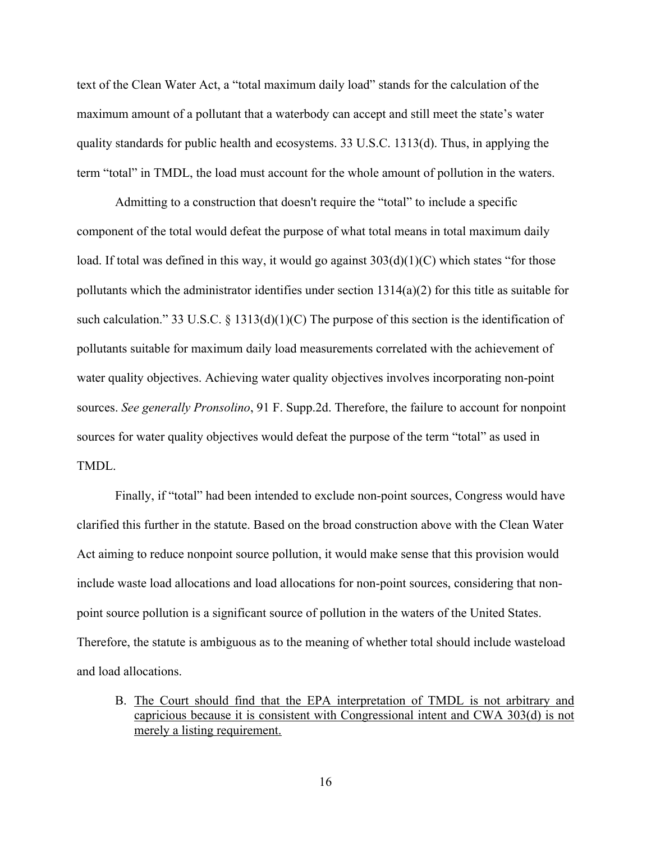text of the Clean Water Act, a "total maximum daily load" stands for the calculation of the maximum amount of a pollutant that a waterbody can accept and still meet the state's water quality standards for public health and ecosystems. 33 U.S.C. 1313(d). Thus, in applying the term "total" in TMDL, the load must account for the whole amount of pollution in the waters.

Admitting to a construction that doesn't require the "total" to include a specific component of the total would defeat the purpose of what total means in total maximum daily load. If total was defined in this way, it would go against  $303(d)(1)(C)$  which states "for those pollutants which the administrator identifies under section 1314(a)(2) for this title as suitable for such calculation." 33 U.S.C.  $\S$  1313(d)(1)(C) The purpose of this section is the identification of pollutants suitable for maximum daily load measurements correlated with the achievement of water quality objectives. Achieving water quality objectives involves incorporating non-point sources. *See generally Pronsolino*, 91 F. Supp.2d. Therefore, the failure to account for nonpoint sources for water quality objectives would defeat the purpose of the term "total" as used in TMDL.

Finally, if "total" had been intended to exclude non-point sources, Congress would have clarified this further in the statute. Based on the broad construction above with the Clean Water Act aiming to reduce nonpoint source pollution, it would make sense that this provision would include waste load allocations and load allocations for non-point sources, considering that nonpoint source pollution is a significant source of pollution in the waters of the United States. Therefore, the statute is ambiguous as to the meaning of whether total should include wasteload and load allocations.

B. The Court should find that the EPA interpretation of TMDL is not arbitrary and capricious because it is consistent with Congressional intent and CWA 303(d) is not merely a listing requirement.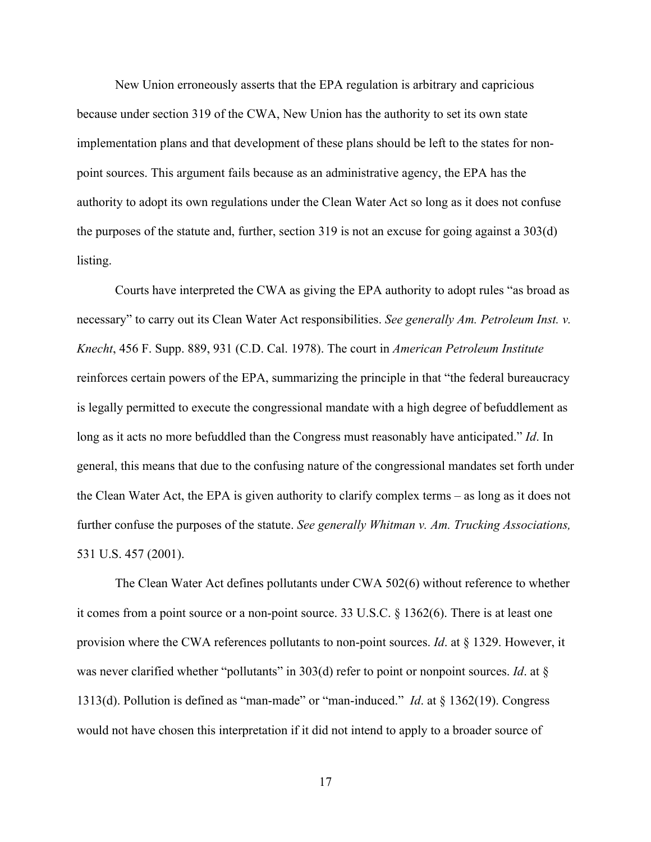New Union erroneously asserts that the EPA regulation is arbitrary and capricious because under section 319 of the CWA, New Union has the authority to set its own state implementation plans and that development of these plans should be left to the states for nonpoint sources. This argument fails because as an administrative agency, the EPA has the authority to adopt its own regulations under the Clean Water Act so long as it does not confuse the purposes of the statute and, further, section 319 is not an excuse for going against a 303(d) listing.

Courts have interpreted the CWA as giving the EPA authority to adopt rules "as broad as necessary" to carry out its Clean Water Act responsibilities. *See generally Am. Petroleum Inst. v. Knecht*, 456 F. Supp. 889, 931 (C.D. Cal. 1978). The court in *American Petroleum Institute* reinforces certain powers of the EPA, summarizing the principle in that "the federal bureaucracy is legally permitted to execute the congressional mandate with a high degree of befuddlement as long as it acts no more befuddled than the Congress must reasonably have anticipated." *Id*. In general, this means that due to the confusing nature of the congressional mandates set forth under the Clean Water Act, the EPA is given authority to clarify complex terms – as long as it does not further confuse the purposes of the statute. *See generally Whitman v. Am. Trucking Associations,* 531 U.S. 457 (2001).

The Clean Water Act defines pollutants under CWA 502(6) without reference to whether it comes from a point source or a non-point source. 33 U.S.C. § 1362(6). There is at least one provision where the CWA references pollutants to non-point sources. *Id*. at § 1329. However, it was never clarified whether "pollutants" in 303(d) refer to point or nonpoint sources. *Id*. at § 1313(d). Pollution is defined as "man-made" or "man-induced." *Id*. at § 1362(19). Congress would not have chosen this interpretation if it did not intend to apply to a broader source of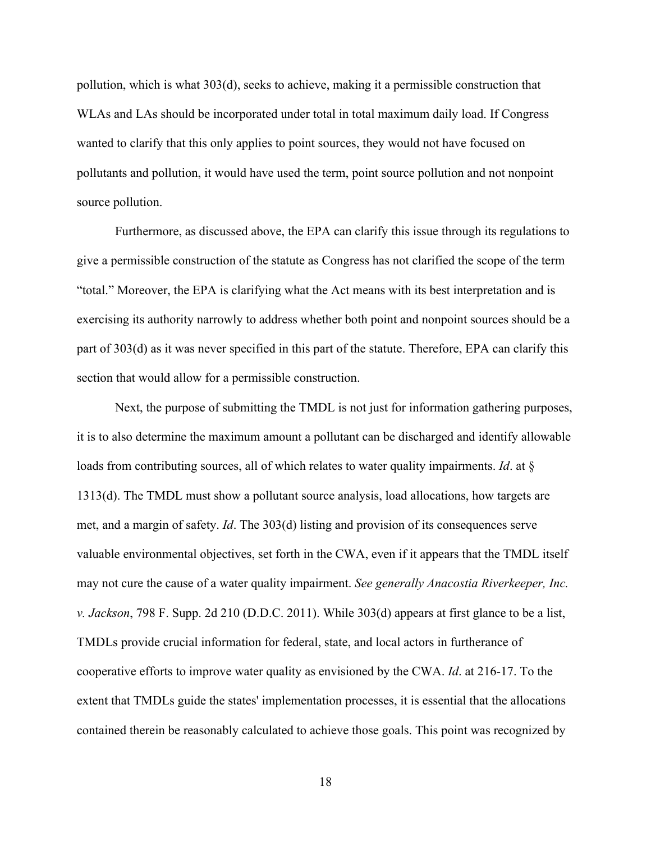pollution, which is what 303(d), seeks to achieve, making it a permissible construction that WLAs and LAs should be incorporated under total in total maximum daily load. If Congress wanted to clarify that this only applies to point sources, they would not have focused on pollutants and pollution, it would have used the term, point source pollution and not nonpoint source pollution.

Furthermore, as discussed above, the EPA can clarify this issue through its regulations to give a permissible construction of the statute as Congress has not clarified the scope of the term "total." Moreover, the EPA is clarifying what the Act means with its best interpretation and is exercising its authority narrowly to address whether both point and nonpoint sources should be a part of 303(d) as it was never specified in this part of the statute. Therefore, EPA can clarify this section that would allow for a permissible construction.

Next, the purpose of submitting the TMDL is not just for information gathering purposes, it is to also determine the maximum amount a pollutant can be discharged and identify allowable loads from contributing sources, all of which relates to water quality impairments. *Id*. at § 1313(d). The TMDL must show a pollutant source analysis, load allocations, how targets are met, and a margin of safety. *Id*. The 303(d) listing and provision of its consequences serve valuable environmental objectives, set forth in the CWA, even if it appears that the TMDL itself may not cure the cause of a water quality impairment. *See generally Anacostia Riverkeeper, Inc. v. Jackson*, 798 F. Supp. 2d 210 (D.D.C. 2011). While 303(d) appears at first glance to be a list, TMDLs provide crucial information for federal, state, and local actors in furtherance of cooperative efforts to improve water quality as envisioned by the CWA. *Id*. at 216-17. To the extent that TMDLs guide the states' implementation processes, it is essential that the allocations contained therein be reasonably calculated to achieve those goals. This point was recognized by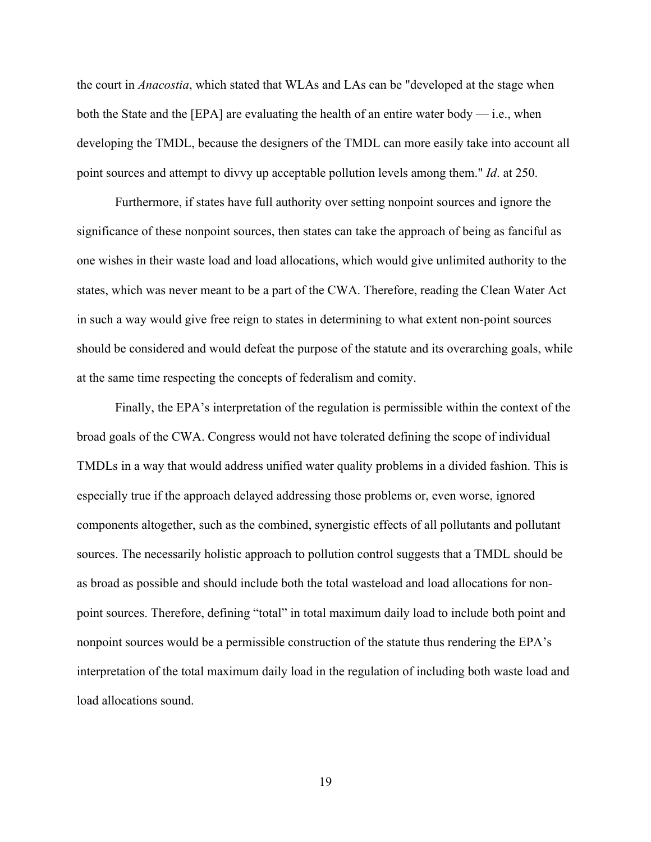the court in *Anacostia*, which stated that WLAs and LAs can be "developed at the stage when both the State and the [EPA] are evaluating the health of an entire water body — i.e., when developing the TMDL, because the designers of the TMDL can more easily take into account all point sources and attempt to divvy up acceptable pollution levels among them." *Id*. at 250.

Furthermore, if states have full authority over setting nonpoint sources and ignore the significance of these nonpoint sources, then states can take the approach of being as fanciful as one wishes in their waste load and load allocations, which would give unlimited authority to the states, which was never meant to be a part of the CWA. Therefore, reading the Clean Water Act in such a way would give free reign to states in determining to what extent non-point sources should be considered and would defeat the purpose of the statute and its overarching goals, while at the same time respecting the concepts of federalism and comity.

Finally, the EPA's interpretation of the regulation is permissible within the context of the broad goals of the CWA. Congress would not have tolerated defining the scope of individual TMDLs in a way that would address unified water quality problems in a divided fashion. This is especially true if the approach delayed addressing those problems or, even worse, ignored components altogether, such as the combined, synergistic effects of all pollutants and pollutant sources. The necessarily holistic approach to pollution control suggests that a TMDL should be as broad as possible and should include both the total wasteload and load allocations for nonpoint sources. Therefore, defining "total" in total maximum daily load to include both point and nonpoint sources would be a permissible construction of the statute thus rendering the EPA's interpretation of the total maximum daily load in the regulation of including both waste load and load allocations sound.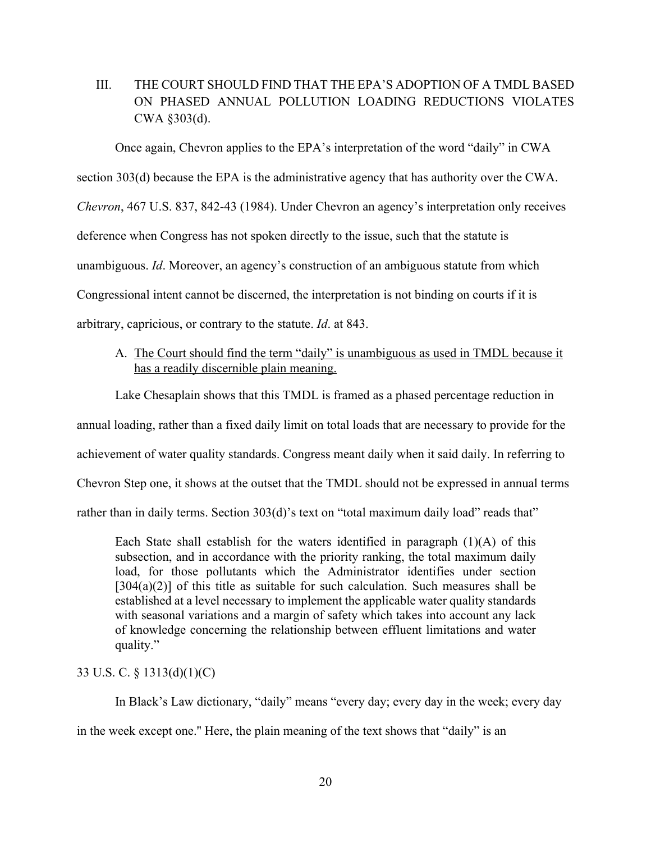## III. THE COURT SHOULD FIND THAT THE EPA'S ADOPTION OF A TMDL BASED ON PHASED ANNUAL POLLUTION LOADING REDUCTIONS VIOLATES CWA §303(d).

Once again, Chevron applies to the EPA's interpretation of the word "daily" in CWA section 303(d) because the EPA is the administrative agency that has authority over the CWA. *Chevron*, 467 U.S. 837, 842-43 (1984). Under Chevron an agency's interpretation only receives deference when Congress has not spoken directly to the issue, such that the statute is unambiguous. *Id*. Moreover, an agency's construction of an ambiguous statute from which Congressional intent cannot be discerned, the interpretation is not binding on courts if it is arbitrary, capricious, or contrary to the statute. *Id*. at 843.

## A. The Court should find the term "daily" is unambiguous as used in TMDL because it has a readily discernible plain meaning.

Lake Chesaplain shows that this TMDL is framed as a phased percentage reduction in

annual loading, rather than a fixed daily limit on total loads that are necessary to provide for the

achievement of water quality standards. Congress meant daily when it said daily. In referring to

Chevron Step one, it shows at the outset that the TMDL should not be expressed in annual terms

rather than in daily terms. Section 303(d)'s text on "total maximum daily load" reads that"

Each State shall establish for the waters identified in paragraph  $(1)(A)$  of this subsection, and in accordance with the priority ranking, the total maximum daily load, for those pollutants which the Administrator identifies under section  $[304(a)(2)]$  of this title as suitable for such calculation. Such measures shall be established at a level necessary to implement the applicable water quality standards with seasonal variations and a margin of safety which takes into account any lack of knowledge concerning the relationship between effluent limitations and water quality."

## 33 U.S. C. § 1313(d)(1)(C)

In Black's Law dictionary, "daily" means "every day; every day in the week; every day

in the week except one.'' Here, the plain meaning of the text shows that "daily" is an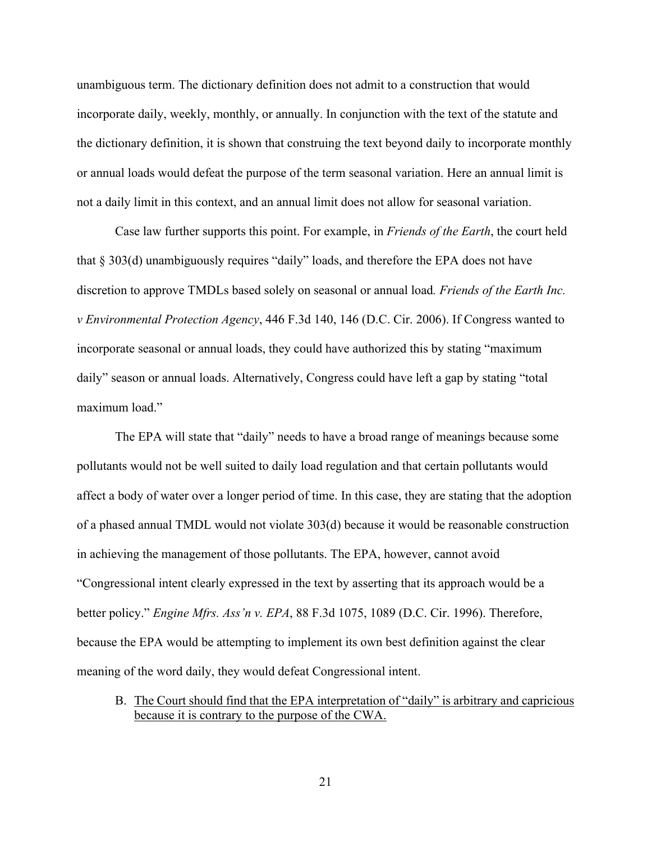unambiguous term. The dictionary definition does not admit to a construction that would incorporate daily, weekly, monthly, or annually. In conjunction with the text of the statute and the dictionary definition, it is shown that construing the text beyond daily to incorporate monthly or annual loads would defeat the purpose of the term seasonal variation. Here an annual limit is not a daily limit in this context, and an annual limit does not allow for seasonal variation.

Case law further supports this point. For example, in *Friends of the Earth*, the court held that § 303(d) unambiguously requires "daily" loads, and therefore the EPA does not have discretion to approve TMDLs based solely on seasonal or annual load*. Friends of the Earth Inc. v Environmental Protection Agency*, 446 F.3d 140, 146 (D.C. Cir. 2006). If Congress wanted to incorporate seasonal or annual loads, they could have authorized this by stating "maximum daily" season or annual loads. Alternatively, Congress could have left a gap by stating "total maximum load."

The EPA will state that "daily" needs to have a broad range of meanings because some pollutants would not be well suited to daily load regulation and that certain pollutants would affect a body of water over a longer period of time. In this case, they are stating that the adoption of a phased annual TMDL would not violate 303(d) because it would be reasonable construction in achieving the management of those pollutants. The EPA, however, cannot avoid "Congressional intent clearly expressed in the text by asserting that its approach would be a better policy." *Engine Mfrs. Ass'n v. EPA*, 88 F.3d 1075, 1089 (D.C. Cir. 1996). Therefore, because the EPA would be attempting to implement its own best definition against the clear meaning of the word daily, they would defeat Congressional intent.

B. The Court should find that the EPA interpretation of "daily" is arbitrary and capricious because it is contrary to the purpose of the CWA.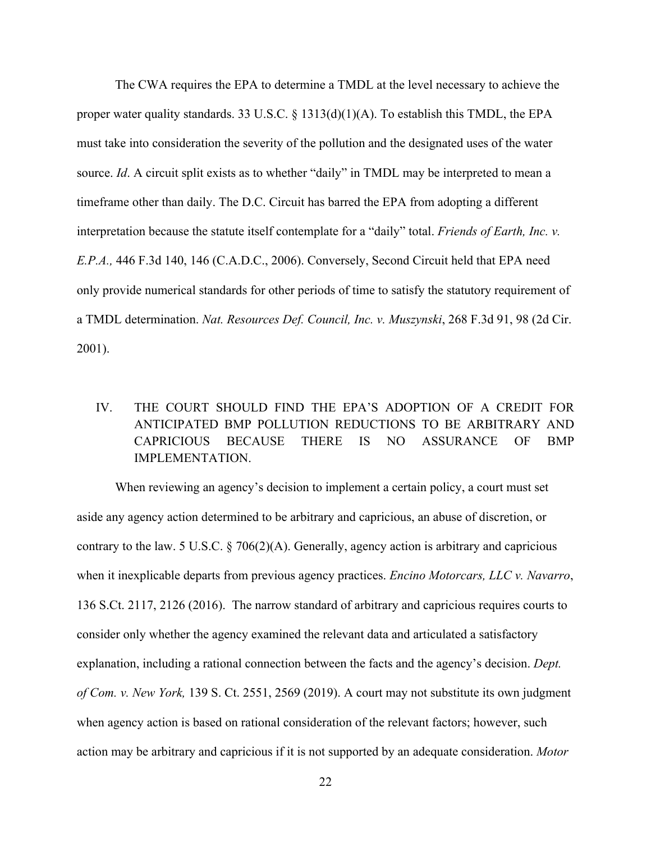The CWA requires the EPA to determine a TMDL at the level necessary to achieve the proper water quality standards. 33 U.S.C.  $\S$  1313(d)(1)(A). To establish this TMDL, the EPA must take into consideration the severity of the pollution and the designated uses of the water source. *Id*. A circuit split exists as to whether "daily" in TMDL may be interpreted to mean a timeframe other than daily. The D.C. Circuit has barred the EPA from adopting a different interpretation because the statute itself contemplate for a "daily" total. *Friends of Earth, Inc. v. E.P.A.,* 446 F.3d 140, 146 (C.A.D.C., 2006). Conversely, Second Circuit held that EPA need only provide numerical standards for other periods of time to satisfy the statutory requirement of a TMDL determination. *Nat. Resources Def. Council, Inc. v. Muszynski*, 268 F.3d 91, 98 (2d Cir. 2001).

# IV. THE COURT SHOULD FIND THE EPA'S ADOPTION OF A CREDIT FOR ANTICIPATED BMP POLLUTION REDUCTIONS TO BE ARBITRARY AND CAPRICIOUS BECAUSE THERE IS NO ASSURANCE OF BMP IMPLEMENTATION.

When reviewing an agency's decision to implement a certain policy, a court must set aside any agency action determined to be arbitrary and capricious, an abuse of discretion, or contrary to the law. 5 U.S.C.  $\S 706(2)(A)$ . Generally, agency action is arbitrary and capricious when it inexplicable departs from previous agency practices. *Encino Motorcars, LLC v. Navarro*, 136 S.Ct. 2117, 2126 (2016). The narrow standard of arbitrary and capricious requires courts to consider only whether the agency examined the relevant data and articulated a satisfactory explanation, including a rational connection between the facts and the agency's decision. *Dept. of Com. v. New York,* 139 S. Ct. 2551, 2569 (2019). A court may not substitute its own judgment when agency action is based on rational consideration of the relevant factors; however, such action may be arbitrary and capricious if it is not supported by an adequate consideration. *Motor*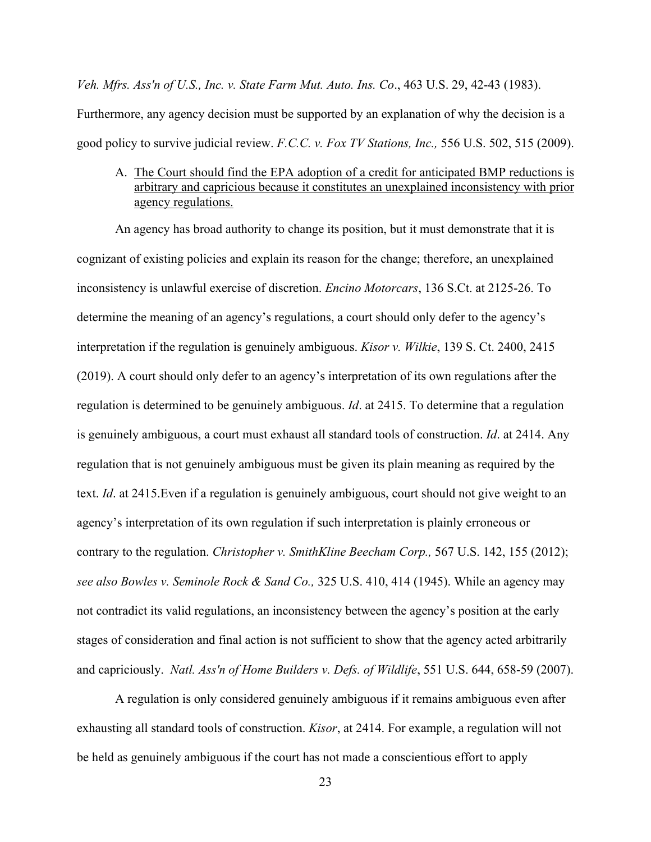*Veh. Mfrs. Ass'n of U.S., Inc. v. State Farm Mut. Auto. Ins. Co*., 463 U.S. 29, 42-43 (1983). Furthermore, any agency decision must be supported by an explanation of why the decision is a good policy to survive judicial review. *F.C.C. v. Fox TV Stations, Inc.,* 556 U.S. 502, 515 (2009).

A. The Court should find the EPA adoption of a credit for anticipated BMP reductions is arbitrary and capricious because it constitutes an unexplained inconsistency with prior agency regulations.

An agency has broad authority to change its position, but it must demonstrate that it is cognizant of existing policies and explain its reason for the change; therefore, an unexplained inconsistency is unlawful exercise of discretion. *Encino Motorcars*, 136 S.Ct. at 2125-26. To determine the meaning of an agency's regulations, a court should only defer to the agency's interpretation if the regulation is genuinely ambiguous. *Kisor v. Wilkie*, 139 S. Ct. 2400, 2415 (2019). A court should only defer to an agency's interpretation of its own regulations after the regulation is determined to be genuinely ambiguous. *Id*. at 2415. To determine that a regulation is genuinely ambiguous, a court must exhaust all standard tools of construction. *Id*. at 2414. Any regulation that is not genuinely ambiguous must be given its plain meaning as required by the text. *Id*. at 2415.Even if a regulation is genuinely ambiguous, court should not give weight to an agency's interpretation of its own regulation if such interpretation is plainly erroneous or contrary to the regulation. *Christopher v. SmithKline Beecham Corp.,* 567 U.S. 142, 155 (2012); *see also Bowles v. Seminole Rock & Sand Co.,* 325 U.S. 410, 414 (1945). While an agency may not contradict its valid regulations, an inconsistency between the agency's position at the early stages of consideration and final action is not sufficient to show that the agency acted arbitrarily and capriciously. *Natl. Ass'n of Home Builders v. Defs. of Wildlife*, 551 U.S. 644, 658-59 (2007).

A regulation is only considered genuinely ambiguous if it remains ambiguous even after exhausting all standard tools of construction. *Kisor*, at 2414. For example, a regulation will not be held as genuinely ambiguous if the court has not made a conscientious effort to apply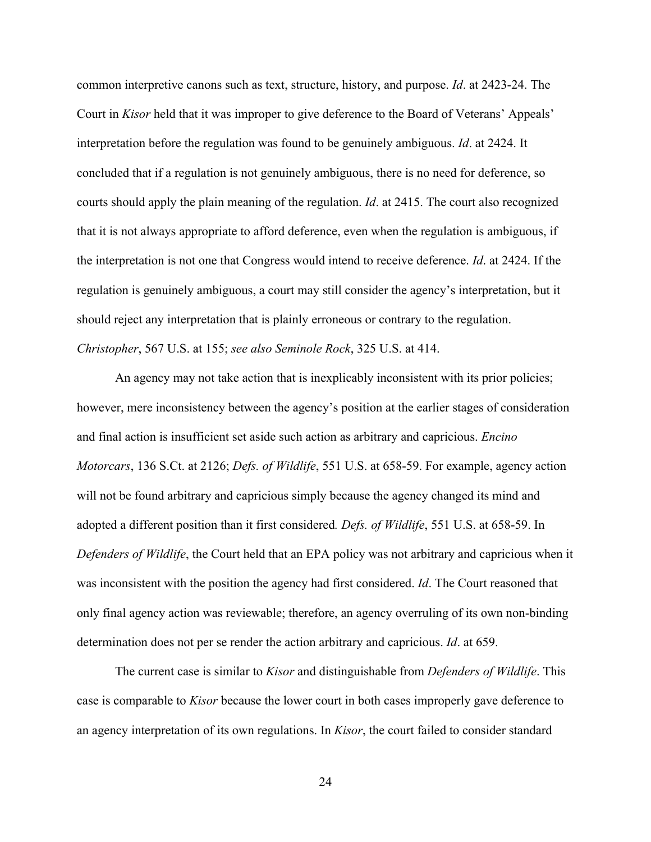common interpretive canons such as text, structure, history, and purpose. *Id*. at 2423-24. The Court in *Kisor* held that it was improper to give deference to the Board of Veterans' Appeals' interpretation before the regulation was found to be genuinely ambiguous. *Id*. at 2424. It concluded that if a regulation is not genuinely ambiguous, there is no need for deference, so courts should apply the plain meaning of the regulation. *Id*. at 2415. The court also recognized that it is not always appropriate to afford deference, even when the regulation is ambiguous, if the interpretation is not one that Congress would intend to receive deference. *Id*. at 2424. If the regulation is genuinely ambiguous, a court may still consider the agency's interpretation, but it should reject any interpretation that is plainly erroneous or contrary to the regulation. *Christopher*, 567 U.S. at 155; *see also Seminole Rock*, 325 U.S. at 414.

An agency may not take action that is inexplicably inconsistent with its prior policies; however, mere inconsistency between the agency's position at the earlier stages of consideration and final action is insufficient set aside such action as arbitrary and capricious. *Encino Motorcars*, 136 S.Ct. at 2126; *Defs. of Wildlife*, 551 U.S. at 658-59. For example, agency action will not be found arbitrary and capricious simply because the agency changed its mind and adopted a different position than it first considered*. Defs. of Wildlife*, 551 U.S. at 658-59. In *Defenders of Wildlife*, the Court held that an EPA policy was not arbitrary and capricious when it was inconsistent with the position the agency had first considered. *Id*. The Court reasoned that only final agency action was reviewable; therefore, an agency overruling of its own non-binding determination does not per se render the action arbitrary and capricious. *Id*. at 659.

The current case is similar to *Kisor* and distinguishable from *Defenders of Wildlife*. This case is comparable to *Kisor* because the lower court in both cases improperly gave deference to an agency interpretation of its own regulations. In *Kisor*, the court failed to consider standard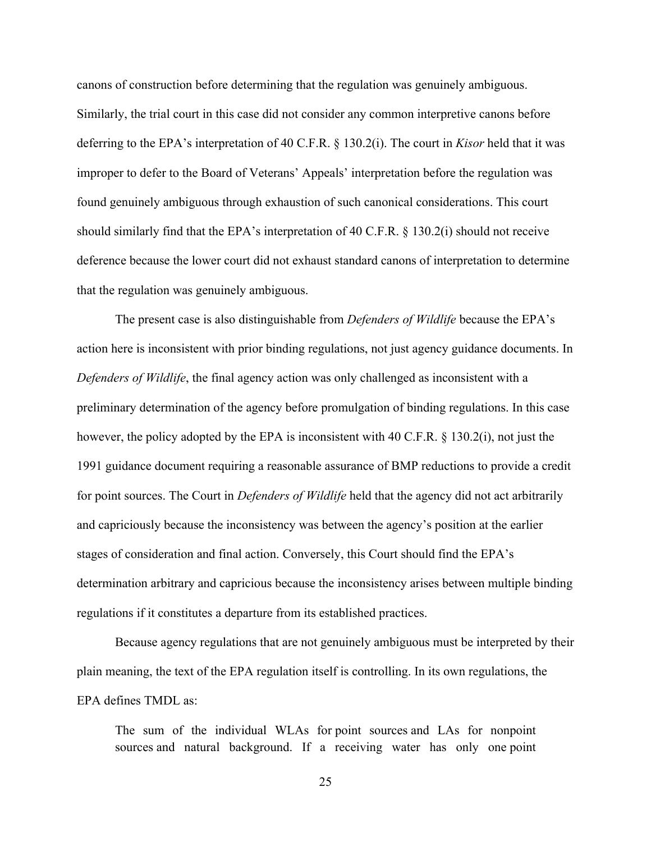canons of construction before determining that the regulation was genuinely ambiguous. Similarly, the trial court in this case did not consider any common interpretive canons before deferring to the EPA's interpretation of 40 C.F.R. § 130.2(i). The court in *Kisor* held that it was improper to defer to the Board of Veterans' Appeals' interpretation before the regulation was found genuinely ambiguous through exhaustion of such canonical considerations. This court should similarly find that the EPA's interpretation of 40 C.F.R. § 130.2(i) should not receive deference because the lower court did not exhaust standard canons of interpretation to determine that the regulation was genuinely ambiguous.

The present case is also distinguishable from *Defenders of Wildlife* because the EPA's action here is inconsistent with prior binding regulations, not just agency guidance documents. In *Defenders of Wildlife*, the final agency action was only challenged as inconsistent with a preliminary determination of the agency before promulgation of binding regulations. In this case however, the policy adopted by the EPA is inconsistent with 40 C.F.R. § 130.2(i), not just the 1991 guidance document requiring a reasonable assurance of BMP reductions to provide a credit for point sources. The Court in *Defenders of Wildlife* held that the agency did not act arbitrarily and capriciously because the inconsistency was between the agency's position at the earlier stages of consideration and final action. Conversely, this Court should find the EPA's determination arbitrary and capricious because the inconsistency arises between multiple binding regulations if it constitutes a departure from its established practices.

Because agency regulations that are not genuinely ambiguous must be interpreted by their plain meaning, the text of the EPA regulation itself is controlling. In its own regulations, the EPA defines TMDL as:

The sum of the individual WLAs for point sources and LAs for nonpoint sources and natural background. If a receiving water has only one point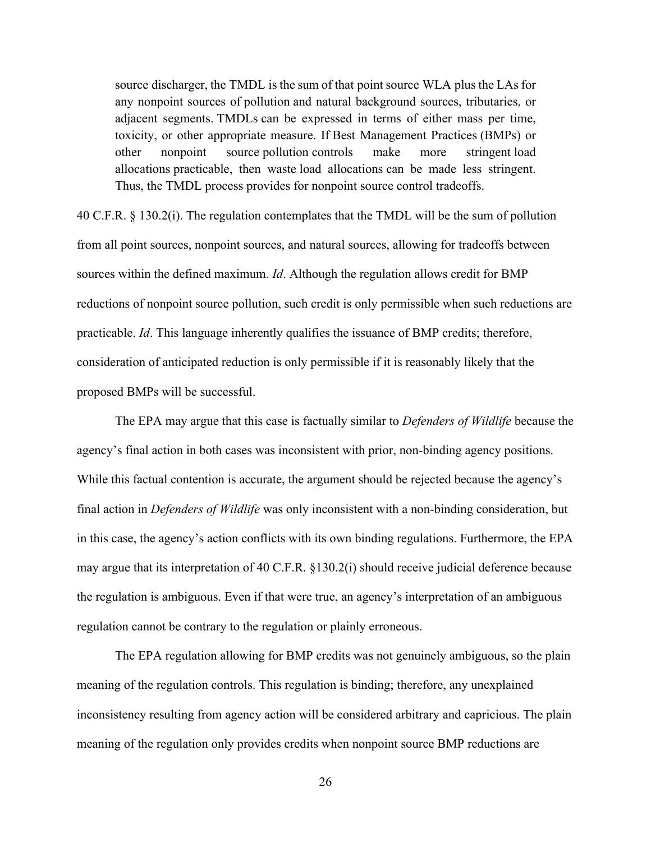source discharger, the TMDL is the sum of that point source WLA plus the LAs for any nonpoint sources of pollution and natural background sources, tributaries, or adjacent segments. TMDLs can be expressed in terms of either mass per time, toxicity, or other appropriate measure. If Best Management Practices (BMPs) or other nonpoint source pollution controls make more stringent load allocations practicable, then waste load allocations can be made less stringent. Thus, the TMDL process provides for nonpoint source control tradeoffs.

40 C.F.R. § 130.2(i). The regulation contemplates that the TMDL will be the sum of pollution from all point sources, nonpoint sources, and natural sources, allowing for tradeoffs between sources within the defined maximum. *Id*. Although the regulation allows credit for BMP reductions of nonpoint source pollution, such credit is only permissible when such reductions are practicable. *Id*. This language inherently qualifies the issuance of BMP credits; therefore, consideration of anticipated reduction is only permissible if it is reasonably likely that the proposed BMPs will be successful.

The EPA may argue that this case is factually similar to *Defenders of Wildlife* because the agency's final action in both cases was inconsistent with prior, non-binding agency positions. While this factual contention is accurate, the argument should be rejected because the agency's final action in *Defenders of Wildlife* was only inconsistent with a non-binding consideration, but in this case, the agency's action conflicts with its own binding regulations. Furthermore, the EPA may argue that its interpretation of 40 C.F.R. §130.2(i) should receive judicial deference because the regulation is ambiguous. Even if that were true, an agency's interpretation of an ambiguous regulation cannot be contrary to the regulation or plainly erroneous.

The EPA regulation allowing for BMP credits was not genuinely ambiguous, so the plain meaning of the regulation controls. This regulation is binding; therefore, any unexplained inconsistency resulting from agency action will be considered arbitrary and capricious. The plain meaning of the regulation only provides credits when nonpoint source BMP reductions are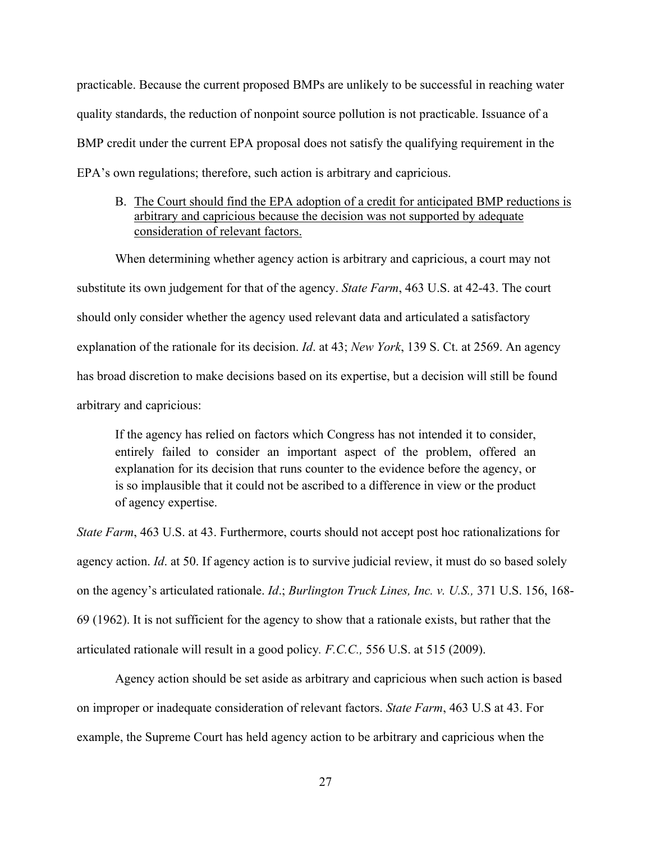practicable. Because the current proposed BMPs are unlikely to be successful in reaching water quality standards, the reduction of nonpoint source pollution is not practicable. Issuance of a BMP credit under the current EPA proposal does not satisfy the qualifying requirement in the EPA's own regulations; therefore, such action is arbitrary and capricious.

## B. The Court should find the EPA adoption of a credit for anticipated BMP reductions is arbitrary and capricious because the decision was not supported by adequate consideration of relevant factors.

When determining whether agency action is arbitrary and capricious, a court may not substitute its own judgement for that of the agency. *State Farm*, 463 U.S. at 42-43. The court should only consider whether the agency used relevant data and articulated a satisfactory explanation of the rationale for its decision. *Id*. at 43; *New York*, 139 S. Ct. at 2569. An agency has broad discretion to make decisions based on its expertise, but a decision will still be found arbitrary and capricious:

If the agency has relied on factors which Congress has not intended it to consider, entirely failed to consider an important aspect of the problem, offered an explanation for its decision that runs counter to the evidence before the agency, or is so implausible that it could not be ascribed to a difference in view or the product of agency expertise.

*State Farm*, 463 U.S. at 43. Furthermore, courts should not accept post hoc rationalizations for agency action. *Id*. at 50. If agency action is to survive judicial review, it must do so based solely on the agency's articulated rationale. *Id*.; *Burlington Truck Lines, Inc. v. U.S.,* 371 U.S. 156, 168- 69 (1962). It is not sufficient for the agency to show that a rationale exists, but rather that the articulated rationale will result in a good policy*. F.C.C.,* 556 U.S. at 515 (2009).

Agency action should be set aside as arbitrary and capricious when such action is based on improper or inadequate consideration of relevant factors. *State Farm*, 463 U.S at 43. For example, the Supreme Court has held agency action to be arbitrary and capricious when the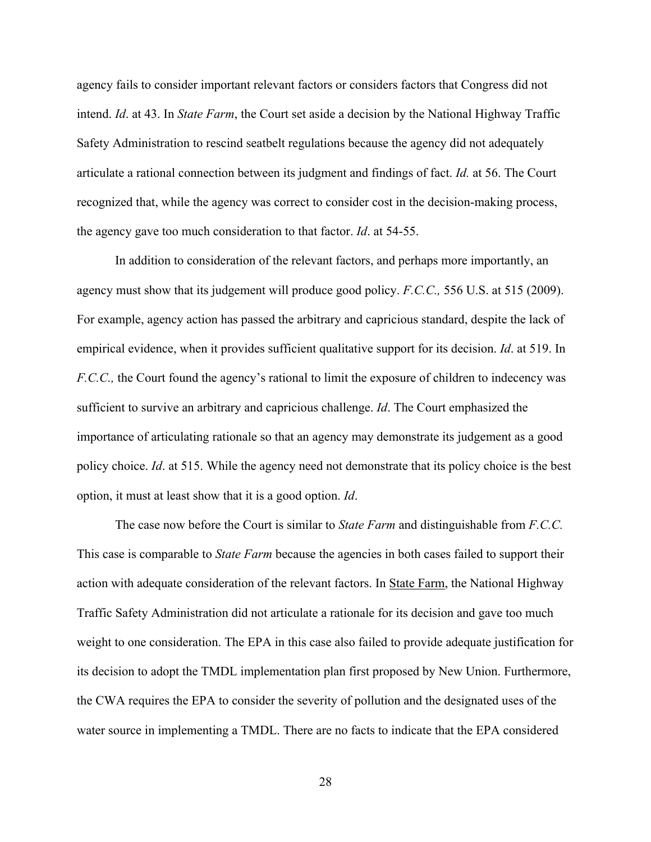agency fails to consider important relevant factors or considers factors that Congress did not intend. *Id*. at 43. In *State Farm*, the Court set aside a decision by the National Highway Traffic Safety Administration to rescind seatbelt regulations because the agency did not adequately articulate a rational connection between its judgment and findings of fact. *Id.* at 56. The Court recognized that, while the agency was correct to consider cost in the decision-making process, the agency gave too much consideration to that factor. *Id*. at 54-55.

In addition to consideration of the relevant factors, and perhaps more importantly, an agency must show that its judgement will produce good policy. *F.C.C.,* 556 U.S. at 515 (2009). For example, agency action has passed the arbitrary and capricious standard, despite the lack of empirical evidence, when it provides sufficient qualitative support for its decision. *Id*. at 519. In *F.C.C.,* the Court found the agency's rational to limit the exposure of children to indecency was sufficient to survive an arbitrary and capricious challenge. *Id*. The Court emphasized the importance of articulating rationale so that an agency may demonstrate its judgement as a good policy choice. *Id*. at 515. While the agency need not demonstrate that its policy choice is the best option, it must at least show that it is a good option. *Id*.

The case now before the Court is similar to *State Farm* and distinguishable from *F.C.C.* This case is comparable to *State Farm* because the agencies in both cases failed to support their action with adequate consideration of the relevant factors. In State Farm, the National Highway Traffic Safety Administration did not articulate a rationale for its decision and gave too much weight to one consideration. The EPA in this case also failed to provide adequate justification for its decision to adopt the TMDL implementation plan first proposed by New Union. Furthermore, the CWA requires the EPA to consider the severity of pollution and the designated uses of the water source in implementing a TMDL. There are no facts to indicate that the EPA considered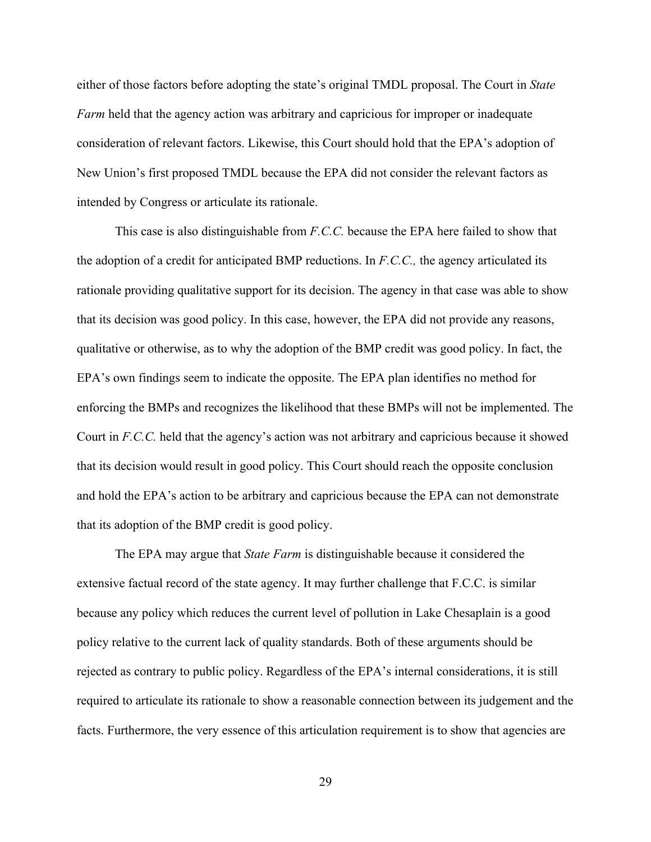either of those factors before adopting the state's original TMDL proposal. The Court in *State Farm* held that the agency action was arbitrary and capricious for improper or inadequate consideration of relevant factors. Likewise, this Court should hold that the EPA's adoption of New Union's first proposed TMDL because the EPA did not consider the relevant factors as intended by Congress or articulate its rationale.

This case is also distinguishable from *F.C.C.* because the EPA here failed to show that the adoption of a credit for anticipated BMP reductions. In *F.C.C.,* the agency articulated its rationale providing qualitative support for its decision. The agency in that case was able to show that its decision was good policy. In this case, however, the EPA did not provide any reasons, qualitative or otherwise, as to why the adoption of the BMP credit was good policy. In fact, the EPA's own findings seem to indicate the opposite. The EPA plan identifies no method for enforcing the BMPs and recognizes the likelihood that these BMPs will not be implemented. The Court in *F.C.C.* held that the agency's action was not arbitrary and capricious because it showed that its decision would result in good policy. This Court should reach the opposite conclusion and hold the EPA's action to be arbitrary and capricious because the EPA can not demonstrate that its adoption of the BMP credit is good policy.

The EPA may argue that *State Farm* is distinguishable because it considered the extensive factual record of the state agency. It may further challenge that F.C.C. is similar because any policy which reduces the current level of pollution in Lake Chesaplain is a good policy relative to the current lack of quality standards. Both of these arguments should be rejected as contrary to public policy. Regardless of the EPA's internal considerations, it is still required to articulate its rationale to show a reasonable connection between its judgement and the facts. Furthermore, the very essence of this articulation requirement is to show that agencies are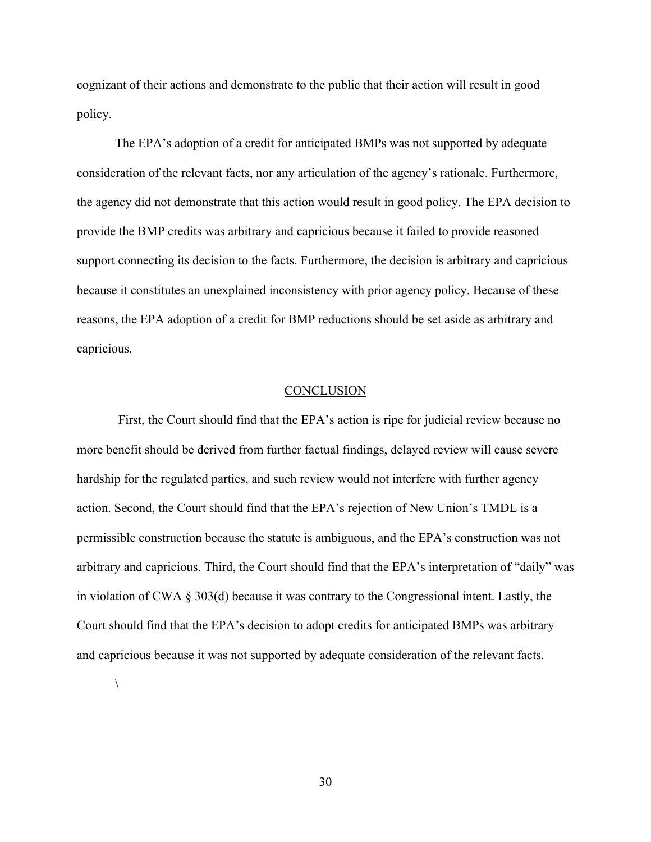cognizant of their actions and demonstrate to the public that their action will result in good policy.

The EPA's adoption of a credit for anticipated BMPs was not supported by adequate consideration of the relevant facts, nor any articulation of the agency's rationale. Furthermore, the agency did not demonstrate that this action would result in good policy. The EPA decision to provide the BMP credits was arbitrary and capricious because it failed to provide reasoned support connecting its decision to the facts. Furthermore, the decision is arbitrary and capricious because it constitutes an unexplained inconsistency with prior agency policy. Because of these reasons, the EPA adoption of a credit for BMP reductions should be set aside as arbitrary and capricious.

#### **CONCLUSION**

First, the Court should find that the EPA's action is ripe for judicial review because no more benefit should be derived from further factual findings, delayed review will cause severe hardship for the regulated parties, and such review would not interfere with further agency action. Second, the Court should find that the EPA's rejection of New Union's TMDL is a permissible construction because the statute is ambiguous, and the EPA's construction was not arbitrary and capricious. Third, the Court should find that the EPA's interpretation of "daily" was in violation of CWA § 303(d) because it was contrary to the Congressional intent. Lastly, the Court should find that the EPA's decision to adopt credits for anticipated BMPs was arbitrary and capricious because it was not supported by adequate consideration of the relevant facts.

 $\setminus$